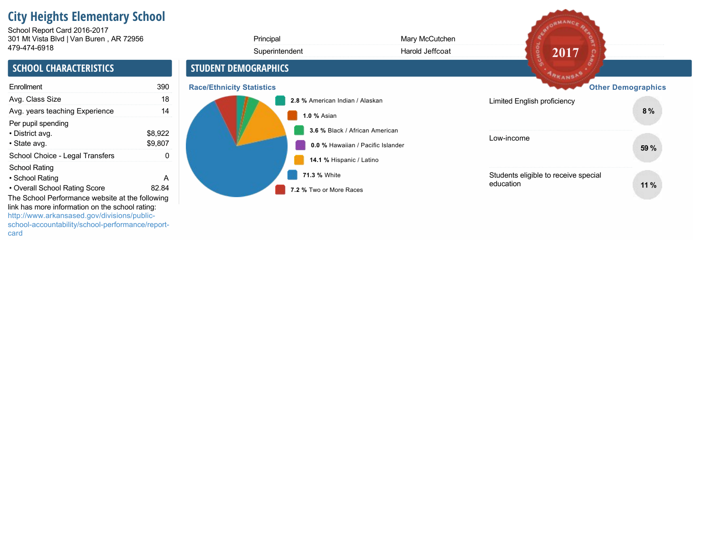# **City Heights Elementary School**

301 Mt Vista Blvd | Van Buren , AR 72956 School Report Card 2016-2017

| 479-474-6918                                                                                                                                                                                          |                    | Superintendent                          | Harold Jeffcoat                                                     | 2017                                              |                           |
|-------------------------------------------------------------------------------------------------------------------------------------------------------------------------------------------------------|--------------------|-----------------------------------------|---------------------------------------------------------------------|---------------------------------------------------|---------------------------|
| <b>SCHOOL CHARACTERISTICS</b>                                                                                                                                                                         |                    | <b>STUDENT DEMOGRAPHICS</b>             |                                                                     | ARKANSAS                                          |                           |
| Enrollment                                                                                                                                                                                            | 390                | <b>Race/Ethnicity Statistics</b>        |                                                                     |                                                   | <b>Other Demographics</b> |
| Avg. Class Size                                                                                                                                                                                       | 18                 |                                         | 2.8 % American Indian / Alaskan                                     | Limited English proficiency                       |                           |
| Avg. years teaching Experience                                                                                                                                                                        | 14                 | 1.0 % Asian                             |                                                                     |                                                   | 8%                        |
| Per pupil spending<br>• District avg.<br>• State avg.                                                                                                                                                 | \$8,922<br>\$9,807 |                                         | 3.6 % Black / African American<br>0.0 % Hawaiian / Pacific Islander | Low-income                                        | 59 %                      |
| School Choice - Legal Transfers                                                                                                                                                                       | 0                  |                                         | 14.1 % Hispanic / Latino                                            |                                                   |                           |
| <b>School Rating</b><br>• School Rating<br>• Overall School Rating Score                                                                                                                              | A<br>82.84         | 71.3 % White<br>7.2 % Two or More Races |                                                                     | Students eligible to receive special<br>education | 11%                       |
| The School Performance website at the following<br>link has more information on the school rating:<br>http://www.arkansased.gov/divisions/public-<br>school-accountability/school-performance/report- |                    |                                         |                                                                     |                                                   |                           |

Principal Mary McCutchen

SEDRMANCE RE

card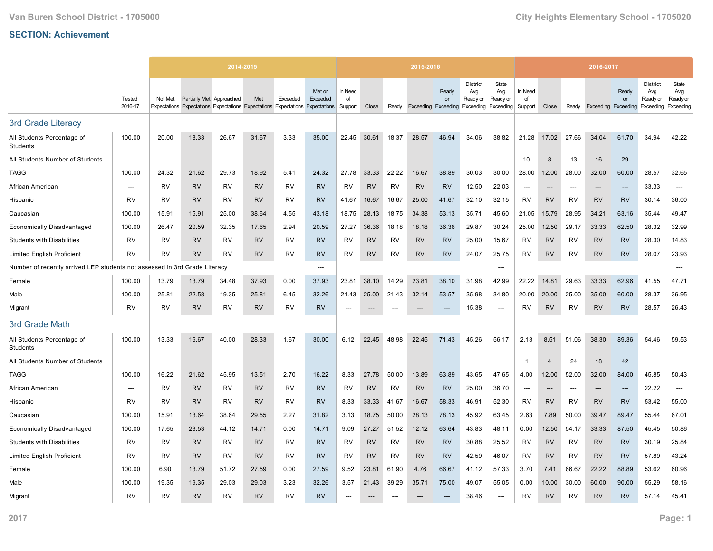|                                                                            |                          |           |                          | 2014-2015                                                                     |           |           |                    |                          |           |           | 2015-2016 |                                           |                                    |                                                 |                          |                |                          | 2016-2017                  |                          |                                                 |                                       |
|----------------------------------------------------------------------------|--------------------------|-----------|--------------------------|-------------------------------------------------------------------------------|-----------|-----------|--------------------|--------------------------|-----------|-----------|-----------|-------------------------------------------|------------------------------------|-------------------------------------------------|--------------------------|----------------|--------------------------|----------------------------|--------------------------|-------------------------------------------------|---------------------------------------|
|                                                                            | <b>Tested</b><br>2016-17 | Not Met   | Partially Met Approached | Expectations Expectations Expectations Expectations Expectations Expectations | Met       | Exceeded  | Met or<br>Exceeded | In Need<br>of<br>Support | Close     | Ready     |           | Ready<br>or<br><b>Exceeding Exceeding</b> | <b>District</b><br>Avg<br>Ready or | State<br>Avg<br>Ready or<br>Exceeding Exceeding | In Need<br>of<br>Support | Close          | Ready                    | <b>Exceeding Exceeding</b> | Ready<br>or              | <b>District</b><br>Avg<br>Ready or<br>Exceeding | State<br>Avg<br>Ready or<br>Exceeding |
| 3rd Grade Literacy                                                         |                          |           |                          |                                                                               |           |           |                    |                          |           |           |           |                                           |                                    |                                                 |                          |                |                          |                            |                          |                                                 |                                       |
| All Students Percentage of<br>Students                                     | 100.00                   | 20.00     | 18.33                    | 26.67                                                                         | 31.67     | 3.33      | 35.00              | 22.45                    | 30.61     | 18.37     | 28.57     | 46.94                                     | 34.06                              | 38.82                                           | 21.28                    | 17.02          | 27.66                    | 34.04                      | 61.70                    | 34.94                                           | 42.22                                 |
| All Students Number of Students                                            |                          |           |                          |                                                                               |           |           |                    |                          |           |           |           |                                           |                                    |                                                 | 10                       | 8              | 13                       | 16                         | 29                       |                                                 |                                       |
| <b>TAGG</b>                                                                | 100.00                   | 24.32     | 21.62                    | 29.73                                                                         | 18.92     | 5.41      | 24.32              | 27.78                    | 33.33     | 22.22     | 16.67     | 38.89                                     | 30.03                              | 30.00                                           | 28.00                    | 12.00          | 28.00                    | 32.00                      | 60.00                    | 28.57                                           | 32.65                                 |
| African American                                                           | ---                      | RV        | <b>RV</b>                | RV                                                                            | <b>RV</b> | RV        | <b>RV</b>          | RV                       | <b>RV</b> | RV        | <b>RV</b> | <b>RV</b>                                 | 12.50                              | 22.03                                           | ---                      | $---$          | ---                      | $---$                      | $---$                    | 33.33                                           | ---                                   |
| Hispanic                                                                   | <b>RV</b>                | RV        | <b>RV</b>                | <b>RV</b>                                                                     | <b>RV</b> | RV        | <b>RV</b>          | 41.67                    | 16.67     | 16.67     | 25.00     | 41.67                                     | 32.10                              | 32.15                                           | <b>RV</b>                | <b>RV</b>      | RV                       | <b>RV</b>                  | <b>RV</b>                | 30.14                                           | 36.00                                 |
| Caucasian                                                                  | 100.00                   | 15.91     | 15.91                    | 25.00                                                                         | 38.64     | 4.55      | 43.18              | 18.75                    | 28.13     | 18.75     | 34.38     | 53.13                                     | 35.71                              | 45.60                                           | 21.05                    | 15.79          | 28.95                    | 34.21                      | 63.16                    | 35.44                                           | 49.47                                 |
| <b>Economically Disadvantaged</b>                                          | 100.00                   | 26.47     | 20.59                    | 32.35                                                                         | 17.65     | 2.94      | 20.59              | 27.27                    | 36.36     | 18.18     | 18.18     | 36.36                                     | 29.87                              | 30.24                                           | 25.00                    | 12.50          | 29.17                    | 33.33                      | 62.50                    | 28.32                                           | 32.99                                 |
| <b>Students with Disabilities</b>                                          | RV                       | <b>RV</b> | <b>RV</b>                | <b>RV</b>                                                                     | <b>RV</b> | <b>RV</b> | <b>RV</b>          | <b>RV</b>                | <b>RV</b> | <b>RV</b> | <b>RV</b> | <b>RV</b>                                 | 25.00                              | 15.67                                           | RV                       | <b>RV</b>      | <b>RV</b>                | <b>RV</b>                  | <b>RV</b>                | 28.30                                           | 14.83                                 |
| <b>Limited English Proficient</b>                                          | RV                       | <b>RV</b> | <b>RV</b>                | <b>RV</b>                                                                     | <b>RV</b> | <b>RV</b> | <b>RV</b>          | <b>RV</b>                | <b>RV</b> | <b>RV</b> | <b>RV</b> | <b>RV</b>                                 | 24.07                              | 25.75                                           | RV                       | <b>RV</b>      | <b>RV</b>                | <b>RV</b>                  | <b>RV</b>                | 28.07                                           | 23.93                                 |
| Number of recently arrived LEP students not assessed in 3rd Grade Literacy |                          |           |                          |                                                                               |           |           | ---                |                          |           |           |           |                                           |                                    | ---                                             |                          |                |                          |                            |                          |                                                 |                                       |
| Female                                                                     | 100.00                   | 13.79     | 13.79                    | 34.48                                                                         | 37.93     | 0.00      | 37.93              | 23.81                    | 38.10     | 14.29     | 23.81     | 38.10                                     | 31.98                              | 42.99                                           | 22.22                    | 14.81          | 29.63                    | 33.33                      | 62.96                    | 41.55                                           | 47.71                                 |
| Male                                                                       | 100.00                   | 25.81     | 22.58                    | 19.35                                                                         | 25.81     | 6.45      | 32.26              | 21.43                    | 25.00     | 21.43     | 32.14     | 53.57                                     | 35.98                              | 34.80                                           | 20.00                    | 20.00          | 25.00                    | 35.00                      | 60.00                    | 28.37                                           | 36.95                                 |
| Migrant                                                                    | <b>RV</b>                | <b>RV</b> | <b>RV</b>                | <b>RV</b>                                                                     | <b>RV</b> | <b>RV</b> | <b>RV</b>          |                          |           |           |           |                                           | 15.38                              | ---                                             | RV                       | <b>RV</b>      | <b>RV</b>                | <b>RV</b>                  | <b>RV</b>                | 28.57                                           | 26.43                                 |
| 3rd Grade Math                                                             |                          |           |                          |                                                                               |           |           |                    |                          |           |           |           |                                           |                                    |                                                 |                          |                |                          |                            |                          |                                                 |                                       |
| All Students Percentage of<br>Students                                     | 100.00                   | 13.33     | 16.67                    | 40.00                                                                         | 28.33     | 1.67      | 30.00              | 6.12                     | 22.45     | 48.98     | 22.45     | 71.43                                     | 45.26                              | 56.17                                           | 2.13                     | 8.51           | 51.06                    | 38.30                      | 89.36                    | 54.46                                           | 59.53                                 |
| All Students Number of Students                                            |                          |           |                          |                                                                               |           |           |                    |                          |           |           |           |                                           |                                    |                                                 | $\overline{1}$           | $\overline{4}$ | 24                       | 18                         | 42                       |                                                 |                                       |
| <b>TAGG</b>                                                                | 100.00                   | 16.22     | 21.62                    | 45.95                                                                         | 13.51     | 2.70      | 16.22              | 8.33                     | 27.78     | 50.00     | 13.89     | 63.89                                     | 43.65                              | 47.65                                           | 4.00                     | 12.00          | 52.00                    | 32.00                      | 84.00                    | 45.85                                           | 50.43                                 |
| African American                                                           | ---                      | RV        | <b>RV</b>                | RV                                                                            | <b>RV</b> | <b>RV</b> | <b>RV</b>          | <b>RV</b>                | <b>RV</b> | <b>RV</b> | <b>RV</b> | <b>RV</b>                                 | 25.00                              | 36.70                                           | $\overline{\phantom{a}}$ | $---$          | $\overline{\phantom{a}}$ | $\overline{\phantom{a}}$   | $\overline{\phantom{a}}$ | 22.22                                           | $---$                                 |
| Hispanic                                                                   | <b>RV</b>                | RV        | <b>RV</b>                | RV                                                                            | <b>RV</b> | RV        | <b>RV</b>          | 8.33                     | 33.33     | 41.67     | 16.67     | 58.33                                     | 46.91                              | 52.30                                           | <b>RV</b>                | <b>RV</b>      | <b>RV</b>                | <b>RV</b>                  | <b>RV</b>                | 53.42                                           | 55.00                                 |
| Caucasian                                                                  | 100.00                   | 15.91     | 13.64                    | 38.64                                                                         | 29.55     | 2.27      | 31.82              | 3.13                     | 18.75     | 50.00     | 28.13     | 78.13                                     | 45.92                              | 63.45                                           | 2.63                     | 7.89           | 50.00                    | 39.47                      | 89.47                    | 55.44                                           | 67.01                                 |
| <b>Economically Disadvantaged</b>                                          | 100.00                   | 17.65     | 23.53                    | 44.12                                                                         | 14.71     | 0.00      | 14.71              | 9.09                     | 27.27     | 51.52     | 12.12     | 63.64                                     | 43.83                              | 48.11                                           | 0.00                     | 12.50          | 54.17                    | 33.33                      | 87.50                    | 45.45                                           | 50.86                                 |
| <b>Students with Disabilities</b>                                          | RV                       | <b>RV</b> | <b>RV</b>                | RV                                                                            | <b>RV</b> | <b>RV</b> | <b>RV</b>          | RV                       | <b>RV</b> | RV        | <b>RV</b> | <b>RV</b>                                 | 30.88                              | 25.52                                           | RV                       | <b>RV</b>      | <b>RV</b>                | <b>RV</b>                  | <b>RV</b>                | 30.19                                           | 25.84                                 |
| <b>Limited English Proficient</b>                                          | RV                       | RV        | <b>RV</b>                | RV                                                                            | <b>RV</b> | RV        | <b>RV</b>          | <b>RV</b>                | <b>RV</b> | RV        | <b>RV</b> | <b>RV</b>                                 | 42.59                              | 46.07                                           | RV                       | <b>RV</b>      | RV                       | <b>RV</b>                  | <b>RV</b>                | 57.89                                           | 43.24                                 |
| Female                                                                     | 100.00                   | 6.90      | 13.79                    | 51.72                                                                         | 27.59     | 0.00      | 27.59              | 9.52                     | 23.81     | 61.90     | 4.76      | 66.67                                     | 41.12                              | 57.33                                           | 3.70                     | 7.41           | 66.67                    | 22.22                      | 88.89                    | 53.62                                           | 60.96                                 |
| Male                                                                       | 100.00                   | 19.35     | 19.35                    | 29.03                                                                         | 29.03     | 3.23      | 32.26              | 3.57                     | 21.43     | 39.29     | 35.71     | 75.00                                     | 49.07                              | 55.05                                           | 0.00                     | 10.00          | 30.00                    | 60.00                      | 90.00                    | 55.29                                           | 58.16                                 |
| Migrant                                                                    | RV                       | <b>RV</b> | <b>RV</b>                | <b>RV</b>                                                                     | <b>RV</b> | <b>RV</b> | <b>RV</b>          |                          |           |           |           |                                           | 38.46                              |                                                 | <b>RV</b>                | <b>RV</b>      | <b>RV</b>                | <b>RV</b>                  | <b>RV</b>                | 57.14                                           | 45.41                                 |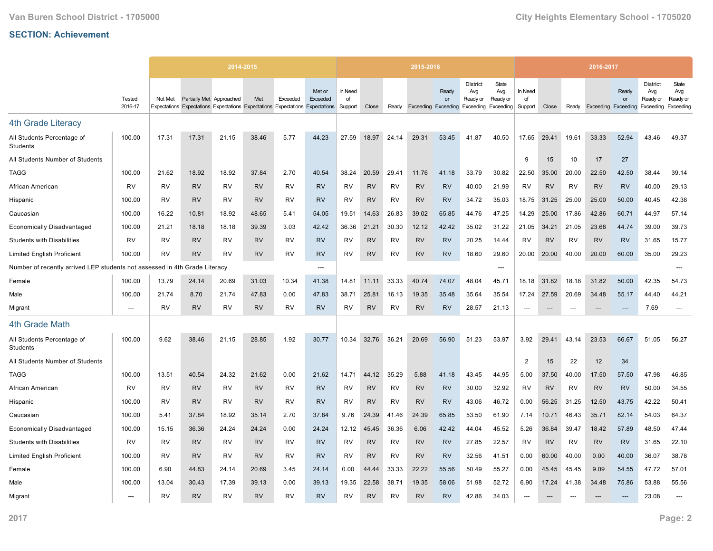|                                                                            |                          |           |                          | 2014-2015                                                                     |           |           |                    |                          |           |           | 2015-2016 |                                           |                                    |                                                        |                          |           |           | 2016-2017                  |             |                                                 |                                       |
|----------------------------------------------------------------------------|--------------------------|-----------|--------------------------|-------------------------------------------------------------------------------|-----------|-----------|--------------------|--------------------------|-----------|-----------|-----------|-------------------------------------------|------------------------------------|--------------------------------------------------------|--------------------------|-----------|-----------|----------------------------|-------------|-------------------------------------------------|---------------------------------------|
|                                                                            | <b>Tested</b><br>2016-17 | Not Met   | Partially Met Approached | Expectations Expectations Expectations Expectations Expectations Expectations | Met       | Exceeded  | Met or<br>Exceeded | In Need<br>of<br>Support | Close     | Ready     |           | Ready<br>or<br><b>Exceeding Exceeding</b> | <b>District</b><br>Avg<br>Ready or | State<br>Avg<br>Ready or<br><b>Exceeding Exceeding</b> | In Need<br>of<br>Support | Close     | Ready     | <b>Exceeding Exceeding</b> | Ready<br>or | <b>District</b><br>Avg<br>Ready or<br>Exceeding | State<br>Avg<br>Ready or<br>Exceeding |
|                                                                            |                          |           |                          |                                                                               |           |           |                    |                          |           |           |           |                                           |                                    |                                                        |                          |           |           |                            |             |                                                 |                                       |
| <b>4th Grade Literacy</b>                                                  |                          |           |                          |                                                                               |           |           |                    |                          |           |           |           |                                           |                                    |                                                        |                          |           |           |                            |             |                                                 |                                       |
| All Students Percentage of<br>Students                                     | 100.00                   | 17.31     | 17.31                    | 21.15                                                                         | 38.46     | 5.77      | 44.23              | 27.59                    | 18.97     | 24.14     | 29.31     | 53.45                                     | 41.87                              | 40.50                                                  | 17.65                    | 29.41     | 19.61     | 33.33                      | 52.94       | 43.46                                           | 49.37                                 |
| All Students Number of Students                                            |                          |           |                          |                                                                               |           |           |                    |                          |           |           |           |                                           |                                    |                                                        | 9                        | 15        | 10        | 17                         | 27          |                                                 |                                       |
| <b>TAGG</b>                                                                | 100.00                   | 21.62     | 18.92                    | 18.92                                                                         | 37.84     | 2.70      | 40.54              | 38.24                    | 20.59     | 29.41     | 11.76     | 41.18                                     | 33.79                              | 30.82                                                  | 22.50                    | 35.00     | 20.00     | 22.50                      | 42.50       | 38.44                                           | 39.14                                 |
| African American                                                           | RV                       | <b>RV</b> | <b>RV</b>                | <b>RV</b>                                                                     | <b>RV</b> | <b>RV</b> | <b>RV</b>          | <b>RV</b>                | <b>RV</b> | <b>RV</b> | <b>RV</b> | <b>RV</b>                                 | 40.00                              | 21.99                                                  | RV                       | <b>RV</b> | <b>RV</b> | <b>RV</b>                  | <b>RV</b>   | 40.00                                           | 29.13                                 |
| Hispanic                                                                   | 100.00                   | <b>RV</b> | <b>RV</b>                | <b>RV</b>                                                                     | <b>RV</b> | <b>RV</b> | <b>RV</b>          | <b>RV</b>                | <b>RV</b> | <b>RV</b> | <b>RV</b> | <b>RV</b>                                 | 34.72                              | 35.03                                                  | 18.75                    | 31.25     | 25.00     | 25.00                      | 50.00       | 40.45                                           | 42.38                                 |
| Caucasian                                                                  | 100.00                   | 16.22     | 10.81                    | 18.92                                                                         | 48.65     | 5.41      | 54.05              | 19.51                    | 14.63     | 26.83     | 39.02     | 65.85                                     | 44.76                              | 47.25                                                  | 14.29                    | 25.00     | 17.86     | 42.86                      | 60.71       | 44.97                                           | 57.14                                 |
| <b>Economically Disadvantaged</b>                                          | 100.00                   | 21.21     | 18.18                    | 18.18                                                                         | 39.39     | 3.03      | 42.42              | 36.36                    | 21.21     | 30.30     | 12.12     | 42.42                                     | 35.02                              | 31.22                                                  | 21.05                    | 34.21     | 21.05     | 23.68                      | 44.74       | 39.00                                           | 39.73                                 |
| <b>Students with Disabilities</b>                                          | <b>RV</b>                | <b>RV</b> | <b>RV</b>                | <b>RV</b>                                                                     | <b>RV</b> | <b>RV</b> | <b>RV</b>          | <b>RV</b>                | <b>RV</b> | <b>RV</b> | <b>RV</b> | <b>RV</b>                                 | 20.25                              | 14.44                                                  | <b>RV</b>                | <b>RV</b> | <b>RV</b> | <b>RV</b>                  | <b>RV</b>   | 31.65                                           | 15.77                                 |
| <b>Limited English Proficient</b>                                          | 100.00                   | <b>RV</b> | <b>RV</b>                | <b>RV</b>                                                                     | <b>RV</b> | <b>RV</b> | <b>RV</b>          | <b>RV</b>                | <b>RV</b> | <b>RV</b> | <b>RV</b> | <b>RV</b>                                 | 18.60                              | 29.60                                                  | 20.00                    | 20.00     | 40.00     | 20.00                      | 60.00       | 35.00                                           | 29.23                                 |
| Number of recently arrived LEP students not assessed in 4th Grade Literacy |                          |           |                          |                                                                               |           |           | ---                |                          |           |           |           |                                           |                                    | ---                                                    |                          |           |           |                            |             |                                                 |                                       |
| Female                                                                     | 100.00                   | 13.79     | 24.14                    | 20.69                                                                         | 31.03     | 10.34     | 41.38              | 14.81                    | 11.11     | 33.33     | 40.74     | 74.07                                     | 48.04                              | 45.71                                                  | 18.18                    | 31.82     | 18.18     | 31.82                      | 50.00       | 42.35                                           | 54.73                                 |
| Male                                                                       | 100.00                   | 21.74     | 8.70                     | 21.74                                                                         | 47.83     | 0.00      | 47.83              | 38.71                    | 25.81     | 16.13     | 19.35     | 35.48                                     | 35.64                              | 35.54                                                  | 17.24                    | 27.59     | 20.69     | 34.48                      | 55.17       | 44.40                                           | 44.21                                 |
| Migrant                                                                    | ---                      | <b>RV</b> | <b>RV</b>                | <b>RV</b>                                                                     | <b>RV</b> | <b>RV</b> | <b>RV</b>          | <b>RV</b>                | <b>RV</b> | <b>RV</b> | <b>RV</b> | <b>RV</b>                                 | 28.57                              | 21.13                                                  | ---                      |           |           | ---                        |             | 7.69                                            | ---                                   |
| 4th Grade Math                                                             |                          |           |                          |                                                                               |           |           |                    |                          |           |           |           |                                           |                                    |                                                        |                          |           |           |                            |             |                                                 |                                       |
| All Students Percentage of<br><b>Students</b>                              | 100.00                   | 9.62      | 38.46                    | 21.15                                                                         | 28.85     | 1.92      | 30.77              | 10.34                    | 32.76     | 36.21     | 20.69     | 56.90                                     | 51.23                              | 53.97                                                  | 3.92                     | 29.41     | 43.14     | 23.53                      | 66.67       | 51.05                                           | 56.27                                 |
| All Students Number of Students                                            |                          |           |                          |                                                                               |           |           |                    |                          |           |           |           |                                           |                                    |                                                        | $\overline{2}$           | 15        | 22        | 12                         | 34          |                                                 |                                       |
| <b>TAGG</b>                                                                | 100.00                   | 13.51     | 40.54                    | 24.32                                                                         | 21.62     | 0.00      | 21.62              | 14.71                    | 44.12     | 35.29     | 5.88      | 41.18                                     | 43.45                              | 44.95                                                  | 5.00                     | 37.50     | 40.00     | 17.50                      | 57.50       | 47.98                                           | 46.85                                 |
| African American                                                           | <b>RV</b>                | <b>RV</b> | <b>RV</b>                | <b>RV</b>                                                                     | <b>RV</b> | <b>RV</b> | <b>RV</b>          | <b>RV</b>                | <b>RV</b> | <b>RV</b> | <b>RV</b> | <b>RV</b>                                 | 30.00                              | 32.92                                                  | <b>RV</b>                | <b>RV</b> | <b>RV</b> | <b>RV</b>                  | <b>RV</b>   | 50.00                                           | 34.55                                 |
| Hispanic                                                                   | 100.00                   | RV        | <b>RV</b>                | RV                                                                            | <b>RV</b> | <b>RV</b> | <b>RV</b>          | <b>RV</b>                | <b>RV</b> | <b>RV</b> | <b>RV</b> | <b>RV</b>                                 | 43.06                              | 46.72                                                  | 0.00                     | 56.25     | 31.25     | 12.50                      | 43.75       | 42.22                                           | 50.41                                 |
| Caucasian                                                                  | 100.00                   | 5.41      | 37.84                    | 18.92                                                                         | 35.14     | 2.70      | 37.84              | 9.76                     | 24.39     | 41.46     | 24.39     | 65.85                                     | 53.50                              | 61.90                                                  | 7.14                     | 10.71     | 46.43     | 35.71                      | 82.14       | 54.03                                           | 64.37                                 |
| <b>Economically Disadvantaged</b>                                          | 100.00                   | 15.15     | 36.36                    | 24.24                                                                         | 24.24     | 0.00      | 24.24              | 12.12                    | 45.45     | 36.36     | 6.06      | 42.42                                     | 44.04                              | 45.52                                                  | 5.26                     | 36.84     | 39.47     | 18.42                      | 57.89       | 48.50                                           | 47.44                                 |
| <b>Students with Disabilities</b>                                          | <b>RV</b>                | <b>RV</b> | <b>RV</b>                | <b>RV</b>                                                                     | <b>RV</b> | <b>RV</b> | <b>RV</b>          | <b>RV</b>                | <b>RV</b> | <b>RV</b> | <b>RV</b> | <b>RV</b>                                 | 27.85                              | 22.57                                                  | <b>RV</b>                | <b>RV</b> | <b>RV</b> | <b>RV</b>                  | <b>RV</b>   | 31.65                                           | 22.10                                 |
| <b>Limited English Proficient</b>                                          | 100.00                   | RV        | <b>RV</b>                | <b>RV</b>                                                                     | <b>RV</b> | <b>RV</b> | <b>RV</b>          | <b>RV</b>                | <b>RV</b> | <b>RV</b> | <b>RV</b> | <b>RV</b>                                 | 32.56                              | 41.51                                                  | 0.00                     | 60.00     | 40.00     | 0.00                       | 40.00       | 36.07                                           | 38.78                                 |
| Female                                                                     | 100.00                   | 6.90      | 44.83                    | 24.14                                                                         | 20.69     | 3.45      | 24.14              | 0.00                     | 44.44     | 33.33     | 22.22     | 55.56                                     | 50.49                              | 55.27                                                  | 0.00                     | 45.45     | 45.45     | 9.09                       | 54.55       | 47.72                                           | 57.01                                 |
| Male                                                                       | 100.00                   | 13.04     | 30.43                    | 17.39                                                                         | 39.13     | 0.00      | 39.13              | 19.35                    | 22.58     | 38.71     | 19.35     | 58.06                                     | 51.98                              | 52.72                                                  | 6.90                     | 17.24     | 41.38     | 34.48                      | 75.86       | 53.88                                           | 55.56                                 |
| Migrant                                                                    | ---                      | <b>RV</b> | <b>RV</b>                | <b>RV</b>                                                                     | <b>RV</b> | <b>RV</b> | <b>RV</b>          | <b>RV</b>                | <b>RV</b> | <b>RV</b> | <b>RV</b> | <b>RV</b>                                 | 42.86                              | 34.03                                                  | $---$                    |           |           |                            |             | 23.08                                           | ---                                   |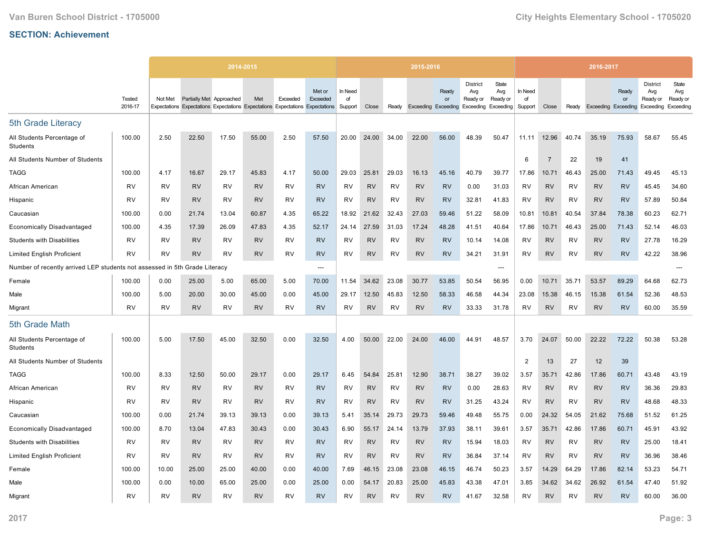|                                                                            |                          |           |                          | 2014-2015                                                                     |           |           |                    |                          |           |           | 2015-2016 |                                           |                                                           |                          |                          |                |           | 2016-2017                  |             |                                                 |                                       |
|----------------------------------------------------------------------------|--------------------------|-----------|--------------------------|-------------------------------------------------------------------------------|-----------|-----------|--------------------|--------------------------|-----------|-----------|-----------|-------------------------------------------|-----------------------------------------------------------|--------------------------|--------------------------|----------------|-----------|----------------------------|-------------|-------------------------------------------------|---------------------------------------|
|                                                                            | <b>Tested</b><br>2016-17 | Not Met   | Partially Met Approached | Expectations Expectations Expectations Expectations Expectations Expectations | Met       | Exceeded  | Met or<br>Exceeded | In Need<br>of<br>Support | Close     | Ready     |           | Ready<br>or<br><b>Exceeding Exceeding</b> | <b>District</b><br>Avg<br>Ready or<br>Exceeding Exceeding | State<br>Avg<br>Ready or | In Need<br>of<br>Support | Close          | Ready     | <b>Exceeding Exceeding</b> | Ready<br>or | <b>District</b><br>Avg<br>Ready or<br>Exceeding | State<br>Avg<br>Ready or<br>Exceeding |
| 5th Grade Literacy                                                         |                          |           |                          |                                                                               |           |           |                    |                          |           |           |           |                                           |                                                           |                          |                          |                |           |                            |             |                                                 |                                       |
| All Students Percentage of<br>Students                                     | 100.00                   | 2.50      | 22.50                    | 17.50                                                                         | 55.00     | 2.50      | 57.50              | 20.00                    | 24.00     | 34.00     | 22.00     | 56.00                                     | 48.39                                                     | 50.47                    | 11.11                    | 12.96          | 40.74     | 35.19                      | 75.93       | 58.67                                           | 55.45                                 |
| All Students Number of Students                                            |                          |           |                          |                                                                               |           |           |                    |                          |           |           |           |                                           |                                                           |                          | 6                        | $\overline{7}$ | 22        | 19                         | 41          |                                                 |                                       |
| <b>TAGG</b>                                                                | 100.00                   | 4.17      | 16.67                    | 29.17                                                                         | 45.83     | 4.17      | 50.00              | 29.03                    | 25.81     | 29.03     | 16.13     | 45.16                                     | 40.79                                                     | 39.77                    | 17.86                    | 10.71          | 46.43     | 25.00                      | 71.43       | 49.45                                           | 45.13                                 |
| African American                                                           | RV                       | RV        | <b>RV</b>                | RV                                                                            | <b>RV</b> | RV        | <b>RV</b>          | RV                       | <b>RV</b> | RV        | <b>RV</b> | <b>RV</b>                                 | 0.00                                                      | 31.03                    | RV                       | <b>RV</b>      | RV        | <b>RV</b>                  | <b>RV</b>   | 45.45                                           | 34.60                                 |
| Hispanic                                                                   | <b>RV</b>                | RV        | <b>RV</b>                | RV                                                                            | <b>RV</b> | RV        | <b>RV</b>          | RV                       | <b>RV</b> | RV        | <b>RV</b> | <b>RV</b>                                 | 32.81                                                     | 41.83                    | RV                       | <b>RV</b>      | RV        | <b>RV</b>                  | <b>RV</b>   | 57.89                                           | 50.84                                 |
| Caucasian                                                                  | 100.00                   | 0.00      | 21.74                    | 13.04                                                                         | 60.87     | 4.35      | 65.22              | 18.92                    | 21.62     | 32.43     | 27.03     | 59.46                                     | 51.22                                                     | 58.09                    | 10.81                    | 10.81          | 40.54     | 37.84                      | 78.38       | 60.23                                           | 62.71                                 |
| <b>Economically Disadvantaged</b>                                          | 100.00                   | 4.35      | 17.39                    | 26.09                                                                         | 47.83     | 4.35      | 52.17              | 24.14                    | 27.59     | 31.03     | 17.24     | 48.28                                     | 41.51                                                     | 40.64                    | 17.86                    | 10.71          | 46.43     | 25.00                      | 71.43       | 52.14                                           | 46.03                                 |
| <b>Students with Disabilities</b>                                          | RV                       | <b>RV</b> | <b>RV</b>                | <b>RV</b>                                                                     | <b>RV</b> | <b>RV</b> | <b>RV</b>          | <b>RV</b>                | <b>RV</b> | <b>RV</b> | <b>RV</b> | <b>RV</b>                                 | 10.14                                                     | 14.08                    | <b>RV</b>                | <b>RV</b>      | <b>RV</b> | <b>RV</b>                  | <b>RV</b>   | 27.78                                           | 16.29                                 |
| <b>Limited English Proficient</b>                                          | RV                       | <b>RV</b> | <b>RV</b>                | <b>RV</b>                                                                     | <b>RV</b> | <b>RV</b> | <b>RV</b>          | <b>RV</b>                | <b>RV</b> | <b>RV</b> | <b>RV</b> | <b>RV</b>                                 | 34.21                                                     | 31.91                    | RV                       | <b>RV</b>      | <b>RV</b> | <b>RV</b>                  | <b>RV</b>   | 42.22                                           | 38.96                                 |
| Number of recently arrived LEP students not assessed in 5th Grade Literacy |                          |           |                          |                                                                               |           |           | ---                |                          |           |           |           |                                           |                                                           | ---                      |                          |                |           |                            |             |                                                 |                                       |
| Female                                                                     | 100.00                   | 0.00      | 25.00                    | 5.00                                                                          | 65.00     | 5.00      | 70.00              | 11.54                    | 34.62     | 23.08     | 30.77     | 53.85                                     | 50.54                                                     | 56.95                    | 0.00                     | 10.71          | 35.71     | 53.57                      | 89.29       | 64.68                                           | 62.73                                 |
| Male                                                                       | 100.00                   | 5.00      | 20.00                    | 30.00                                                                         | 45.00     | 0.00      | 45.00              | 29.17                    | 12.50     | 45.83     | 12.50     | 58.33                                     | 46.58                                                     | 44.34                    | 23.08                    | 15.38          | 46.15     | 15.38                      | 61.54       | 52.36                                           | 48.53                                 |
| Migrant                                                                    | <b>RV</b>                | <b>RV</b> | <b>RV</b>                | <b>RV</b>                                                                     | <b>RV</b> | <b>RV</b> | <b>RV</b>          | <b>RV</b>                | <b>RV</b> | <b>RV</b> | <b>RV</b> | <b>RV</b>                                 | 33.33                                                     | 31.78                    | RV                       | <b>RV</b>      | <b>RV</b> | <b>RV</b>                  | <b>RV</b>   | 60.00                                           | 35.59                                 |
| 5th Grade Math                                                             |                          |           |                          |                                                                               |           |           |                    |                          |           |           |           |                                           |                                                           |                          |                          |                |           |                            |             |                                                 |                                       |
| All Students Percentage of<br>Students                                     | 100.00                   | 5.00      | 17.50                    | 45.00                                                                         | 32.50     | 0.00      | 32.50              | 4.00                     | 50.00     | 22.00     | 24.00     | 46.00                                     | 44.91                                                     | 48.57                    | 3.70                     | 24.07          | 50.00     | 22.22                      | 72.22       | 50.38                                           | 53.28                                 |
| All Students Number of Students                                            |                          |           |                          |                                                                               |           |           |                    |                          |           |           |           |                                           |                                                           |                          | $\overline{2}$           | 13             | 27        | 12                         | 39          |                                                 |                                       |
| <b>TAGG</b>                                                                | 100.00                   | 8.33      | 12.50                    | 50.00                                                                         | 29.17     | 0.00      | 29.17              | 6.45                     | 54.84     | 25.81     | 12.90     | 38.71                                     | 38.27                                                     | 39.02                    | 3.57                     | 35.71          | 42.86     | 17.86                      | 60.71       | 43.48                                           | 43.19                                 |
| African American                                                           | RV                       | RV        | <b>RV</b>                | RV                                                                            | <b>RV</b> | <b>RV</b> | <b>RV</b>          | RV                       | <b>RV</b> | <b>RV</b> | <b>RV</b> | <b>RV</b>                                 | 0.00                                                      | 28.63                    | RV                       | <b>RV</b>      | <b>RV</b> | <b>RV</b>                  | <b>RV</b>   | 36.36                                           | 29.83                                 |
| Hispanic                                                                   | <b>RV</b>                | <b>RV</b> | <b>RV</b>                | RV                                                                            | <b>RV</b> | RV        | <b>RV</b>          | <b>RV</b>                | <b>RV</b> | <b>RV</b> | <b>RV</b> | <b>RV</b>                                 | 31.25                                                     | 43.24                    | <b>RV</b>                | <b>RV</b>      | <b>RV</b> | <b>RV</b>                  | <b>RV</b>   | 48.68                                           | 48.33                                 |
| Caucasian                                                                  | 100.00                   | 0.00      | 21.74                    | 39.13                                                                         | 39.13     | 0.00      | 39.13              | 5.41                     | 35.14     | 29.73     | 29.73     | 59.46                                     | 49.48                                                     | 55.75                    | 0.00                     | 24.32          | 54.05     | 21.62                      | 75.68       | 51.52                                           | 61.25                                 |
| <b>Economically Disadvantaged</b>                                          | 100.00                   | 8.70      | 13.04                    | 47.83                                                                         | 30.43     | 0.00      | 30.43              | 6.90                     | 55.17     | 24.14     | 13.79     | 37.93                                     | 38.11                                                     | 39.61                    | 3.57                     | 35.71          | 42.86     | 17.86                      | 60.71       | 45.91                                           | 43.92                                 |
| <b>Students with Disabilities</b>                                          | RV                       | <b>RV</b> | <b>RV</b>                | RV                                                                            | <b>RV</b> | <b>RV</b> | <b>RV</b>          | RV                       | <b>RV</b> | RV        | <b>RV</b> | <b>RV</b>                                 | 15.94                                                     | 18.03                    | RV                       | <b>RV</b>      | <b>RV</b> | <b>RV</b>                  | <b>RV</b>   | 25.00                                           | 18.41                                 |
| <b>Limited English Proficient</b>                                          | RV                       | RV        | <b>RV</b>                | RV                                                                            | <b>RV</b> | RV        | <b>RV</b>          | RV                       | <b>RV</b> | RV        | <b>RV</b> | <b>RV</b>                                 | 36.84                                                     | 37.14                    | RV                       | <b>RV</b>      | RV        | <b>RV</b>                  | <b>RV</b>   | 36.96                                           | 38.46                                 |
| Female                                                                     | 100.00                   | 10.00     | 25.00                    | 25.00                                                                         | 40.00     | 0.00      | 40.00              | 7.69                     | 46.15     | 23.08     | 23.08     | 46.15                                     | 46.74                                                     | 50.23                    | 3.57                     | 14.29          | 64.29     | 17.86                      | 82.14       | 53.23                                           | 54.71                                 |
| Male                                                                       | 100.00                   | 0.00      | 10.00                    | 65.00                                                                         | 25.00     | 0.00      | 25.00              | 0.00                     | 54.17     | 20.83     | 25.00     | 45.83                                     | 43.38                                                     | 47.01                    | 3.85                     | 34.62          | 34.62     | 26.92                      | 61.54       | 47.40                                           | 51.92                                 |
| Migrant                                                                    | <b>RV</b>                | <b>RV</b> | <b>RV</b>                | <b>RV</b>                                                                     | <b>RV</b> | <b>RV</b> | <b>RV</b>          | <b>RV</b>                | <b>RV</b> | <b>RV</b> | <b>RV</b> | <b>RV</b>                                 | 41.67                                                     | 32.58                    | RV                       | <b>RV</b>      | RV        | <b>RV</b>                  | <b>RV</b>   | 60.00                                           | 36.00                                 |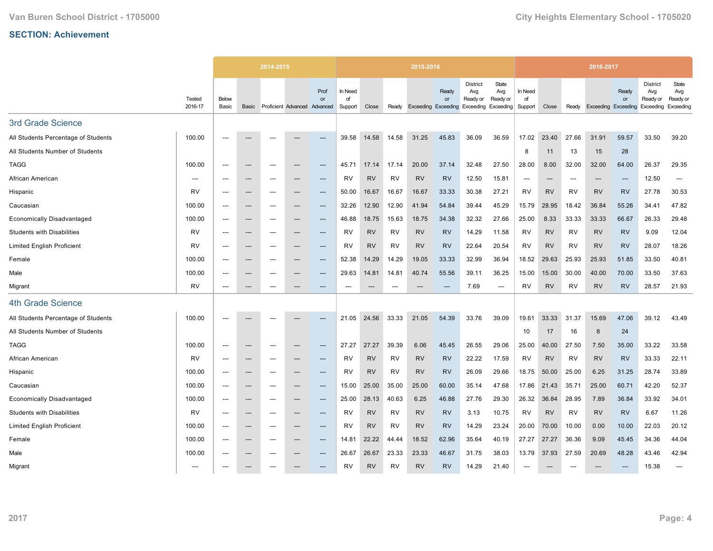|                                     |                   |                          |                                   | 2014-2015                |                              |                          |                          |           |           | 2015-2016 |                                                        |                                    |                          |                          |           |           | 2016-2017                  |                          |                                                 |                                       |
|-------------------------------------|-------------------|--------------------------|-----------------------------------|--------------------------|------------------------------|--------------------------|--------------------------|-----------|-----------|-----------|--------------------------------------------------------|------------------------------------|--------------------------|--------------------------|-----------|-----------|----------------------------|--------------------------|-------------------------------------------------|---------------------------------------|
|                                     | Tested<br>2016-17 | Below<br>Basic           | Basic                             |                          | Proficient Advanced Advanced | Prof<br>or               | In Need<br>of<br>Support | Close     | Ready     |           | Ready<br>or<br>Exceeding Exceeding Exceeding Exceeding | <b>District</b><br>Avg<br>Ready or | State<br>Avg<br>Ready or | In Need<br>of<br>Support | Close     | Ready     | <b>Exceeding Exceeding</b> | Ready<br>or              | <b>District</b><br>Avg<br>Ready or<br>Exceeding | State<br>Avg<br>Ready or<br>Exceeding |
| 3rd Grade Science                   |                   |                          |                                   |                          |                              |                          |                          |           |           |           |                                                        |                                    |                          |                          |           |           |                            |                          |                                                 |                                       |
| All Students Percentage of Students | 100.00            | $---$                    | ---                               | $---$                    | ---                          | $---$                    | 39.58                    | 14.58     | 14.58     | 31.25     | 45.83                                                  | 36.09                              | 36.59                    | 17.02                    | 23.40     | 27.66     | 31.91                      | 59.57                    | 33.50                                           | 39.20                                 |
| All Students Number of Students     |                   |                          |                                   |                          |                              |                          |                          |           |           |           |                                                        |                                    |                          | 8                        | 11        | 13        | 15                         | 28                       |                                                 |                                       |
| <b>TAGG</b>                         | 100.00            | ---                      | $\hspace{0.05cm} \cdots$          | $---$                    | ---                          | ---                      | 45.71                    | 17.14     | 17.14     | 20.00     | 37.14                                                  | 32.48                              | 27.50                    | 28.00                    | 8.00      | 32.00     | 32.00                      | 64.00                    | 26.37                                           | 29.35                                 |
| African American                    | $---$             | $---$                    | $\hspace{0.05cm} \ldots$          | $---$                    | ---                          | $---$                    | <b>RV</b>                | <b>RV</b> | <b>RV</b> | <b>RV</b> | <b>RV</b>                                              | 12.50                              | 15.81                    | $---$                    | $---$     | $---$     | $---$                      | $\overline{\phantom{a}}$ | 12.50                                           | $---$                                 |
| Hispanic                            | <b>RV</b>         | ---                      | ---                               | ---                      | ---                          | ---                      | 50.00                    | 16.67     | 16.67     | 16.67     | 33.33                                                  | 30.38                              | 27.21                    | RV                       | <b>RV</b> | <b>RV</b> | <b>RV</b>                  | <b>RV</b>                | 27.78                                           | 30.53                                 |
| Caucasian                           | 100.00            | ---                      | $\hspace{0.05cm} \ldots$          | $---$                    | ---                          | $\hspace{0.05cm} \ldots$ | 32.26                    | 12.90     | 12.90     | 41.94     | 54.84                                                  | 39.44                              | 45.29                    | 15.79                    | 28.95     | 18.42     | 36.84                      | 55.26                    | 34.41                                           | 47.82                                 |
| <b>Economically Disadvantaged</b>   | 100.00            | $---$                    | $\hspace{0.05cm} \ldots$          | $---$                    | ---                          | $\hspace{0.05cm} \ldots$ | 46.88                    | 18.75     | 15.63     | 18.75     | 34.38                                                  | 32.32                              | 27.66                    | 25.00                    | 8.33      | 33.33     | 33.33                      | 66.67                    | 26.33                                           | 29.48                                 |
| <b>Students with Disabilities</b>   | <b>RV</b>         | ---                      | ---                               | ---                      | ---                          | ---                      | <b>RV</b>                | <b>RV</b> | RV        | <b>RV</b> | <b>RV</b>                                              | 14.29                              | 11.58                    | RV                       | <b>RV</b> | <b>RV</b> | <b>RV</b>                  | <b>RV</b>                | 9.09                                            | 12.04                                 |
| <b>Limited English Proficient</b>   | <b>RV</b>         | $---$                    | $\hspace{0.05cm} \ldots$          | $---$                    | ---                          | $---$                    | RV                       | <b>RV</b> | <b>RV</b> | <b>RV</b> | <b>RV</b>                                              | 22.64                              | 20.54                    | <b>RV</b>                | <b>RV</b> | <b>RV</b> | <b>RV</b>                  | <b>RV</b>                | 28.07                                           | 18.26                                 |
| Female                              | 100.00            | $\overline{\phantom{a}}$ | $---$                             | ---                      | ---                          | ---                      | 52.38                    | 14.29     | 14.29     | 19.05     | 33.33                                                  | 32.99                              | 36.94                    | 18.52                    | 29.63     | 25.93     | 25.93                      | 51.85                    | 33.50                                           | 40.81                                 |
| Male                                | 100.00            | ---                      | $\hspace{0.05cm} \cdots$          | $---$                    | ---                          | ---                      | 29.63                    | 14.81     | 14.81     | 40.74     | 55.56                                                  | 39.11                              | 36.25                    | 15.00                    | 15.00     | 30.00     | 40.00                      | 70.00                    | 33.50                                           | 37.63                                 |
| Migrant                             | <b>RV</b>         | $---$                    | $---$                             | $---$                    | ---                          | $---$                    | $---$                    | $---$     | $---$     | ---       | ---                                                    | 7.69                               | ---                      | <b>RV</b>                | <b>RV</b> | <b>RV</b> | <b>RV</b>                  | <b>RV</b>                | 28.57                                           | 21.93                                 |
| 4th Grade Science                   |                   |                          |                                   |                          |                              |                          |                          |           |           |           |                                                        |                                    |                          |                          |           |           |                            |                          |                                                 |                                       |
| All Students Percentage of Students | 100.00            |                          |                                   |                          |                              | ---                      | 21.05                    | 24.56     | 33.33     | 21.05     | 54.39                                                  | 33.76                              | 39.09                    | 19.61                    | 33.33     | 31.37     | 15.69                      | 47.06                    | 39.12                                           | 43.49                                 |
| All Students Number of Students     |                   |                          |                                   |                          |                              |                          |                          |           |           |           |                                                        |                                    |                          | 10                       | 17        | 16        | 8                          | 24                       |                                                 |                                       |
| <b>TAGG</b>                         | 100.00            | $\overline{\phantom{a}}$ | $\hspace{0.05cm} \ldots$          | $\overline{\phantom{a}}$ | ---                          | ---                      | 27.27                    | 27.27     | 39.39     | 6.06      | 45.45                                                  | 26.55                              | 29.06                    | 25.00                    | 40.00     | 27.50     | 7.50                       | 35.00                    | 33.22                                           | 33.58                                 |
| African American                    | <b>RV</b>         | ---                      | ---                               | ---                      |                              | ---                      | RV                       | <b>RV</b> | RV        | RV        | <b>RV</b>                                              | 22.22                              | 17.59                    | <b>RV</b>                | <b>RV</b> | <b>RV</b> | <b>RV</b>                  | <b>RV</b>                | 33.33                                           | 22.11                                 |
| Hispanic                            | 100.00            | $---$                    | $---$                             | $---$                    | ---                          | $---$                    | <b>RV</b>                | <b>RV</b> | <b>RV</b> | <b>RV</b> | <b>RV</b>                                              | 26.09                              | 29.66                    | 18.75                    | 50.00     | 25.00     | 6.25                       | 31.25                    | 28.74                                           | 33.89                                 |
| Caucasian                           | 100.00            | ---                      | $\hspace{0.05cm} \dashrightarrow$ | $---$                    | ---                          | ---                      | 15.00                    | 25.00     | 35.00     | 25.00     | 60.00                                                  | 35.14                              | 47.68                    | 17.86                    | 21.43     | 35.71     | 25.00                      | 60.71                    | 42.20                                           | 52.37                                 |
| <b>Economically Disadvantaged</b>   | 100.00            | $---$                    | $\hspace{0.05cm} \ldots$          | $---$                    | ---                          | ---                      | 25.00                    | 28.13     | 40.63     | 6.25      | 46.88                                                  | 27.76                              | 29.30                    | 26.32                    | 36.84     | 28.95     | 7.89                       | 36.84                    | 33.92                                           | 34.01                                 |
| <b>Students with Disabilities</b>   | <b>RV</b>         | $---$                    | $---$                             | $---$                    | ---                          | $---$                    | RV                       | <b>RV</b> | <b>RV</b> | <b>RV</b> | <b>RV</b>                                              | 3.13                               | 10.75                    | <b>RV</b>                | <b>RV</b> | <b>RV</b> | <b>RV</b>                  | <b>RV</b>                | 6.67                                            | 11.26                                 |
| <b>Limited English Proficient</b>   | 100.00            |                          | $\hspace{0.05cm} \cdots$          | $\overline{\phantom{a}}$ | ---                          | ---                      | RV                       | <b>RV</b> | RV        | <b>RV</b> | <b>RV</b>                                              | 14.29                              | 23.24                    | 20.00                    | 70.00     | 10.00     | 0.00                       | 10.00                    | 22.03                                           | 20.12                                 |
| Female                              | 100.00            | $---$                    | $\hspace{0.05cm} \ldots$          | $---$                    | $---$                        | $---$                    | 14.81                    | 22.22     | 44.44     | 18.52     | 62.96                                                  | 35.64                              | 40.19                    | 27.27                    | 27.27     | 36.36     | 9.09                       | 45.45                    | 34.36                                           | 44.04                                 |
| Male                                | 100.00            | $---$                    | $---$                             | $---$                    | ---                          | ---                      | 26.67                    | 26.67     | 23.33     | 23.33     | 46.67                                                  | 31.75                              | 38.03                    | 13.79                    | 37.93     | 27.59     | 20.69                      | 48.28                    | 43.46                                           | 42.94                                 |
| Migrant                             | ---               |                          | ---                               |                          |                              |                          | RV                       | <b>RV</b> | <b>RV</b> | <b>RV</b> | <b>RV</b>                                              | 14.29                              | 21.40                    | $---$                    |           |           |                            |                          | 15.38                                           | ---                                   |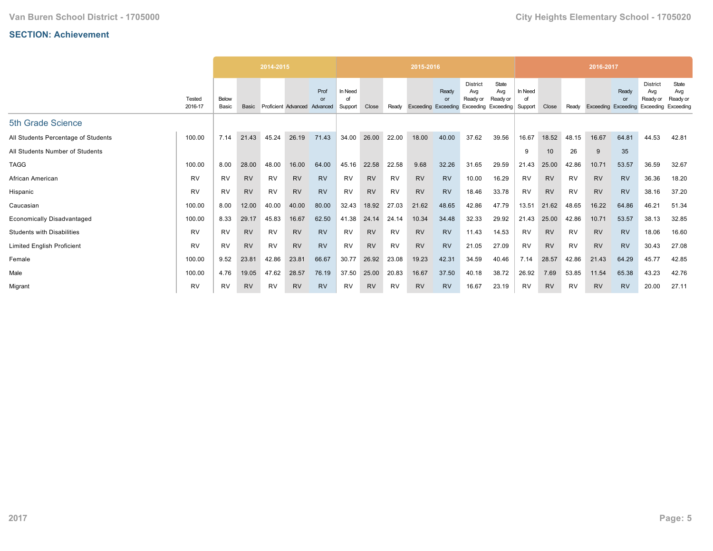|                                     |                   |                |           | 2014-2015 |                     |                        |                          |           |           | 2015-2016           |           |                                                           |                          |                          |           |           | 2016-2017           |             |                                                 |                                       |
|-------------------------------------|-------------------|----------------|-----------|-----------|---------------------|------------------------|--------------------------|-----------|-----------|---------------------|-----------|-----------------------------------------------------------|--------------------------|--------------------------|-----------|-----------|---------------------|-------------|-------------------------------------------------|---------------------------------------|
|                                     | Tested<br>2016-17 | Below<br>Basic | Basic     |           | Proficient Advanced | Prof<br>or<br>Advanced | In Need<br>∩f<br>Support | Close     | Ready     | Exceeding Exceeding | Ready     | <b>District</b><br>Avg<br>Ready or<br>Exceeding Exceeding | State<br>Avg<br>Ready or | In Need<br>of<br>Support | Close     | Ready     | Exceeding Exceeding | Ready<br>or | <b>District</b><br>Avg<br>Ready or<br>Exceeding | State<br>Avg<br>Ready or<br>Exceeding |
| 5th Grade Science                   |                   |                |           |           |                     |                        |                          |           |           |                     |           |                                                           |                          |                          |           |           |                     |             |                                                 |                                       |
| All Students Percentage of Students | 100.00            | 7.14           | 21.43     | 45.24     | 26.19               | 71.43                  | 34.00                    | 26.00     | 22.00     | 18.00               | 40.00     | 37.62                                                     | 39.56                    | 16.67                    | 18.52     | 48.15     | 16.67               | 64.81       | 44.53                                           | 42.81                                 |
| All Students Number of Students     |                   |                |           |           |                     |                        |                          |           |           |                     |           |                                                           |                          | 9                        | 10        | 26        | 9                   | 35          |                                                 |                                       |
| <b>TAGG</b>                         | 100.00            | 8.00           | 28.00     | 48.00     | 16.00               | 64.00                  | 45.16                    | 22.58     | 22.58     | 9.68                | 32.26     | 31.65                                                     | 29.59                    | 21.43                    | 25.00     | 42.86     | 10.71               | 53.57       | 36.59                                           | 32.67                                 |
| African American                    | <b>RV</b>         | <b>RV</b>      | <b>RV</b> | <b>RV</b> | <b>RV</b>           | <b>RV</b>              | <b>RV</b>                | <b>RV</b> | <b>RV</b> | <b>RV</b>           | <b>RV</b> | 10.00                                                     | 16.29                    | <b>RV</b>                | <b>RV</b> | <b>RV</b> | <b>RV</b>           | <b>RV</b>   | 36.36                                           | 18.20                                 |
| Hispanic                            | <b>RV</b>         | <b>RV</b>      | <b>RV</b> | RV        | <b>RV</b>           | <b>RV</b>              | <b>RV</b>                | <b>RV</b> | RV        | <b>RV</b>           | <b>RV</b> | 18.46                                                     | 33.78                    | <b>RV</b>                | <b>RV</b> | RV        | <b>RV</b>           | <b>RV</b>   | 38.16                                           | 37.20                                 |
| Caucasian                           | 100.00            | 8.00           | 12.00     | 40.00     | 40.00               | 80.00                  | 32.43                    | 18.92     | 27.03     | 21.62               | 48.65     | 42.86                                                     | 47.79                    | 13.51                    | 21.62     | 48.65     | 16.22               | 64.86       | 46.21                                           | 51.34                                 |
| <b>Economically Disadvantaged</b>   | 100.00            | 8.33           | 29.17     | 45.83     | 16.67               | 62.50                  | 41.38                    | 24.14     | 24.14     | 10.34               | 34.48     | 32.33                                                     | 29.92                    | 21.43                    | 25.00     | 42.86     | 10.71               | 53.57       | 38.13                                           | 32.85                                 |
| <b>Students with Disabilities</b>   | <b>RV</b>         | <b>RV</b>      | <b>RV</b> | <b>RV</b> | <b>RV</b>           | <b>RV</b>              | <b>RV</b>                | <b>RV</b> | <b>RV</b> | <b>RV</b>           | <b>RV</b> | 11.43                                                     | 14.53                    | <b>RV</b>                | <b>RV</b> | <b>RV</b> | <b>RV</b>           | <b>RV</b>   | 18.06                                           | 16.60                                 |
| <b>Limited English Proficient</b>   | <b>RV</b>         | <b>RV</b>      | <b>RV</b> | <b>RV</b> | <b>RV</b>           | <b>RV</b>              | <b>RV</b>                | <b>RV</b> | <b>RV</b> | <b>RV</b>           | <b>RV</b> | 21.05                                                     | 27.09                    | <b>RV</b>                | <b>RV</b> | <b>RV</b> | <b>RV</b>           | <b>RV</b>   | 30.43                                           | 27.08                                 |
| Female                              | 100.00            | 9.52           | 23.81     | 42.86     | 23.81               | 66.67                  | 30.77                    | 26.92     | 23.08     | 19.23               | 42.31     | 34.59                                                     | 40.46                    | 7.14                     | 28.57     | 42.86     | 21.43               | 64.29       | 45.77                                           | 42.85                                 |
| Male                                | 100.00            | 4.76           | 19.05     | 47.62     | 28.57               | 76.19                  | 37.50                    | 25.00     | 20.83     | 16.67               | 37.50     | 40.18                                                     | 38.72                    | 26.92                    | 7.69      | 53.85     | 11.54               | 65.38       | 43.23                                           | 42.76                                 |
| Migrant                             | <b>RV</b>         | <b>RV</b>      | <b>RV</b> | <b>RV</b> | <b>RV</b>           | <b>RV</b>              | <b>RV</b>                | <b>RV</b> | <b>RV</b> | <b>RV</b>           | <b>RV</b> | 16.67                                                     | 23.19                    | <b>RV</b>                | <b>RV</b> | <b>RV</b> | <b>RV</b>           | <b>RV</b>   | 20.00                                           | 27.11                                 |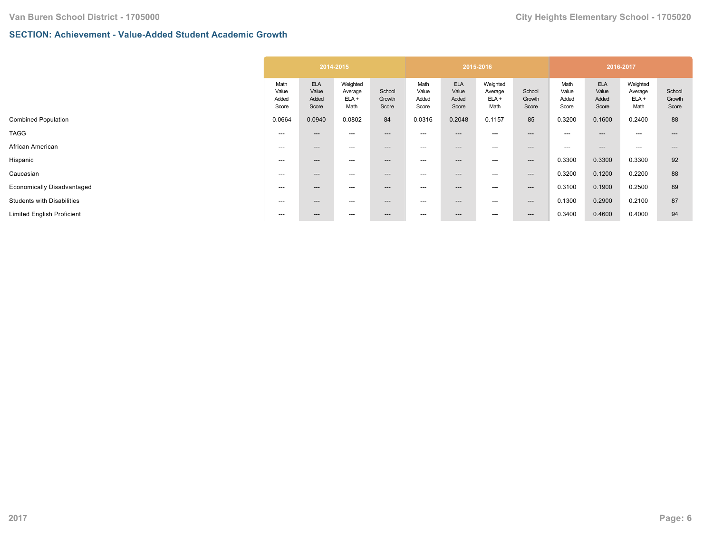## **SECTION: Achievement - Value-Added Student Academic Growth**

|                                   |                                 |                                       | 2014-2015                              |                           |                                 |                                       | 2015-2016                              |                           |                                 |                                       | 2016-2017                              |                           |
|-----------------------------------|---------------------------------|---------------------------------------|----------------------------------------|---------------------------|---------------------------------|---------------------------------------|----------------------------------------|---------------------------|---------------------------------|---------------------------------------|----------------------------------------|---------------------------|
|                                   | Math<br>Value<br>Added<br>Score | <b>ELA</b><br>Value<br>Added<br>Score | Weighted<br>Average<br>$ELA +$<br>Math | School<br>Growth<br>Score | Math<br>Value<br>Added<br>Score | <b>ELA</b><br>Value<br>Added<br>Score | Weighted<br>Average<br>$ELA +$<br>Math | School<br>Growth<br>Score | Math<br>Value<br>Added<br>Score | <b>ELA</b><br>Value<br>Added<br>Score | Weighted<br>Average<br>$ELA +$<br>Math | School<br>Growth<br>Score |
| <b>Combined Population</b>        | 0.0664                          | 0.0940                                | 0.0802                                 | 84                        | 0.0316                          | 0.2048                                | 0.1157                                 | 85                        | 0.3200                          | 0.1600                                | 0.2400                                 | 88                        |
| <b>TAGG</b>                       | ---                             | $---$                                 | $---$                                  | $---$                     | $---$                           | $---$                                 | ---                                    | ---                       | ---                             | $---$                                 | $---$                                  | $---$                     |
| African American                  | ---                             | $--$                                  | $---$                                  | $\hspace{0.05cm} \cdots$  | $---$                           | ---                                   | ---                                    | ---                       | ---                             | $---$                                 | $---$                                  | $---$                     |
| Hispanic                          | ---                             | $--$                                  | $\hspace{0.05cm} \ldots$               | $\hspace{0.05cm} \cdots$  | $---$                           | ---                                   | ---                                    | $--$                      | 0.3300                          | 0.3300                                | 0.3300                                 | 92                        |
| Caucasian                         | $---$                           | $--$                                  | $\hspace{0.05cm} \ldots$               | $\hspace{0.05cm} \cdots$  | $---$                           | ---                                   | ---                                    | ---                       | 0.3200                          | 0.1200                                | 0.2200                                 | 88                        |
| Economically Disadvantaged        | $---$                           | $---$                                 | $\hspace{0.05cm} \ldots$               | $\hspace{0.05cm} \cdots$  | $---$                           | ---                                   | ---                                    | ---                       | 0.3100                          | 0.1900                                | 0.2500                                 | 89                        |
| <b>Students with Disabilities</b> | $---$                           | $---$                                 | $\hspace{0.05cm} \ldots$               | $\hspace{0.05cm} \cdots$  | $---$                           | ---                                   | ---                                    | $--$                      | 0.1300                          | 0.2900                                | 0.2100                                 | 87                        |
| <b>Limited English Proficient</b> | ---                             | $--$                                  | $\hspace{0.05cm} \ldots$               | $\hspace{0.05cm} \cdots$  | $---$                           | ---                                   | ---                                    | $---$                     | 0.3400                          | 0.4600                                | 0.4000                                 | 94                        |
|                                   |                                 |                                       |                                        |                           |                                 |                                       |                                        |                           |                                 |                                       |                                        |                           |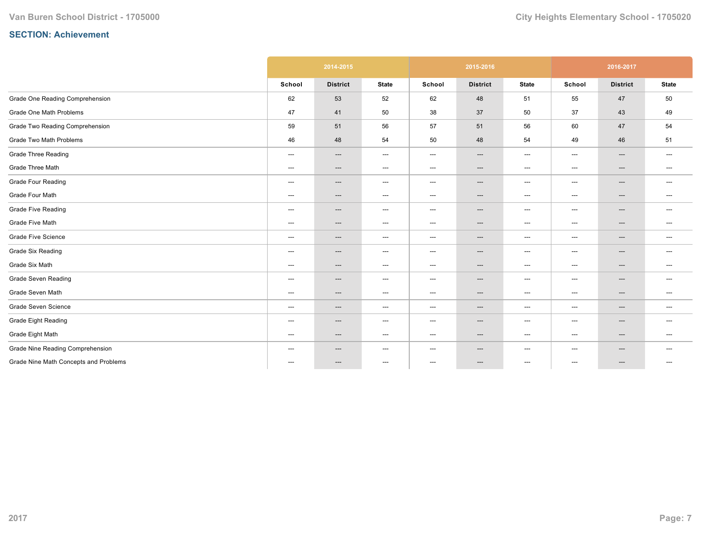|                                       |                                     | 2014-2015                |                                   |        | 2015-2016                |                                   |                          | 2016-2017       |                                   |
|---------------------------------------|-------------------------------------|--------------------------|-----------------------------------|--------|--------------------------|-----------------------------------|--------------------------|-----------------|-----------------------------------|
|                                       | School                              | <b>District</b>          | <b>State</b>                      | School | <b>District</b>          | <b>State</b>                      | School                   | <b>District</b> | <b>State</b>                      |
| Grade One Reading Comprehension       | 62                                  | 53                       | 52                                | 62     | 48                       | 51                                | 55                       | 47              | 50                                |
| Grade One Math Problems               | 47                                  | 41                       | 50                                | 38     | 37                       | 50                                | 37                       | 43              | 49                                |
| Grade Two Reading Comprehension       | 59                                  | 51                       | 56                                | 57     | 51                       | 56                                | 60                       | 47              | 54                                |
| Grade Two Math Problems               | 46                                  | 48                       | 54                                | 50     | 48                       | 54                                | 49                       | 46              | 51                                |
| Grade Three Reading                   | ---                                 | $\qquad \qquad \cdots$   | $\hspace{0.05cm} \ldots$          | $---$  | ---                      | $\hspace{0.05cm} \ldots$          | $\qquad \qquad \cdots$   | ---             | $\hspace{0.05cm} \ldots$          |
| Grade Three Math                      | ---                                 | $\qquad \qquad \cdots$   | $\hspace{0.05cm} \ldots$          | $---$  | ---                      | $\hspace{0.05cm} \ldots$          | $\qquad \qquad \cdots$   | ---             | $\hspace{0.05cm} \ldots$          |
| <b>Grade Four Reading</b>             | ---                                 | $---$                    | $\hspace{0.05cm} \dashrightarrow$ | $---$  | ---                      | $\hspace{0.05cm} \ldots$          | $\qquad \qquad \cdots$   | ---             | $---$                             |
| Grade Four Math                       | ---                                 | ---                      | $\hspace{0.05cm} \dashrightarrow$ | $---$  | ---                      | $\hspace{0.05cm} \dashrightarrow$ | $---$                    | ---             | $\hspace{0.05cm} \ldots$          |
| <b>Grade Five Reading</b>             | ---                                 | $---$                    | $\hspace{0.05cm} \ldots$          | $---$  | ---                      | $\hspace{0.05cm} \ldots$          | $\qquad \qquad \cdots$   | ---             | ---                               |
| Grade Five Math                       | ---                                 | $---$                    | $---$                             | $---$  | ---                      | $\hspace{0.05cm} \ldots$          | $---$                    | ---             | $---$                             |
| <b>Grade Five Science</b>             | ---                                 | ---                      | $\hspace{0.05cm} \dashrightarrow$ | $---$  | ---                      | $\hspace{0.05cm} \dashrightarrow$ | $---$                    | ---             | $\hspace{0.05cm} \dashrightarrow$ |
| <b>Grade Six Reading</b>              | ---                                 | ---                      | $---$                             | $---$  | ---                      | $\hspace{0.05cm} \ldots$          | $---$                    | ---             | $---$                             |
| Grade Six Math                        | ---                                 | $---$                    | $---$                             | $---$  | ---                      | $---$                             | $---$                    | ---             | $---$                             |
| <b>Grade Seven Reading</b>            | $\hspace{0.05cm}---\hspace{0.05cm}$ | $\qquad \qquad \cdots$   | $\hspace{0.05cm} \ldots$          | $---$  | ---                      | $\hspace{0.05cm} \ldots$          | $\qquad \qquad \cdots$   | ---             | $\hspace{0.05cm} \ldots$          |
| Grade Seven Math                      | ---                                 | $\qquad \qquad \cdots$   | $\hspace{0.05cm} \dashrightarrow$ | $---$  | $\qquad \qquad \cdots$   | $\hspace{0.05cm} \dashrightarrow$ | $\qquad \qquad \cdots$   | ---             | $---$                             |
| Grade Seven Science                   | ---                                 | ---                      | $\hspace{0.05cm} \dashrightarrow$ | $---$  | ---                      | $\hspace{0.05cm} \dashrightarrow$ | ---                      | ---             | $\hspace{0.05cm} \dashrightarrow$ |
| <b>Grade Eight Reading</b>            | $\hspace{0.05cm} \ldots$            | $---$                    | $\hspace{0.05cm} \ldots$          | $---$  | $\hspace{0.05cm} \ldots$ | $\hspace{0.05cm} \ldots$          | $---$                    | ---             | $---$                             |
| Grade Eight Math                      | ---                                 | $---$                    | $\hspace{0.05cm} \dashrightarrow$ | $---$  | ---                      | $\hspace{0.05cm} \dashrightarrow$ | $\qquad \qquad \cdots$   | $---$           | ---                               |
| Grade Nine Reading Comprehension      | ---                                 | ---                      | $\hspace{0.05cm} \dashrightarrow$ | $---$  | ---                      | $\hspace{0.05cm} \dashrightarrow$ | $---$                    | ---             | $\hspace{0.05cm} \ldots$          |
| Grade Nine Math Concepts and Problems | $\hspace{0.05cm}---\hspace{0.05cm}$ | $\hspace{0.05cm} \ldots$ | $\hspace{0.05cm} \ldots$          | ---    | ---                      | $\hspace{0.05cm} \ldots$          | $\hspace{0.05cm} \ldots$ | ---             | $---$                             |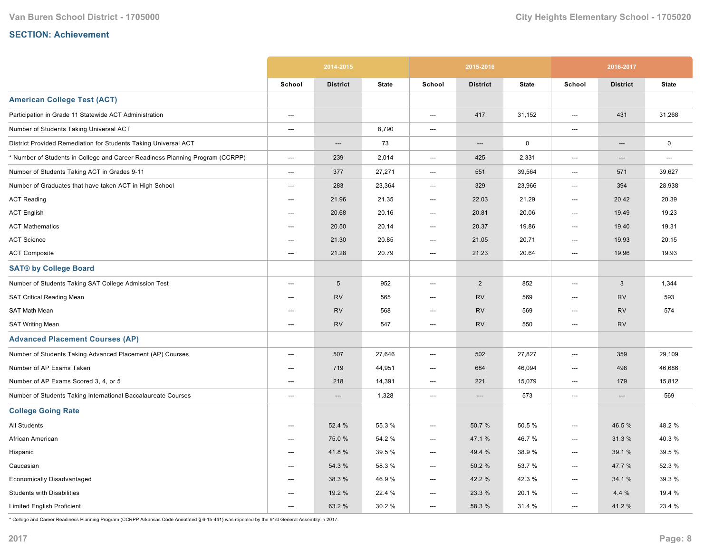|                                                                               |                          | 2014-2015       |              |                          | 2015-2016       |              |                          | 2016-2017       |              |
|-------------------------------------------------------------------------------|--------------------------|-----------------|--------------|--------------------------|-----------------|--------------|--------------------------|-----------------|--------------|
|                                                                               | School                   | <b>District</b> | <b>State</b> | School                   | <b>District</b> | <b>State</b> | School                   | <b>District</b> | <b>State</b> |
| <b>American College Test (ACT)</b>                                            |                          |                 |              |                          |                 |              |                          |                 |              |
| Participation in Grade 11 Statewide ACT Administration                        | ---                      |                 |              | ---                      | 417             | 31,152       | ---                      | 431             | 31,268       |
| Number of Students Taking Universal ACT                                       | ---                      |                 | 8,790        | ---                      |                 |              | ---                      |                 |              |
| District Provided Remediation for Students Taking Universal ACT               |                          | ---             | 73           |                          | ---             | $\mathbf 0$  |                          | ---             | $\mathbf 0$  |
| * Number of Students in College and Career Readiness Planning Program (CCRPP) | ---                      | 239             | 2,014        | ---                      | 425             | 2,331        | ---                      | ---             | ---          |
| Number of Students Taking ACT in Grades 9-11                                  | $---$                    | 377             | 27,271       | $\hspace{0.05cm} \ldots$ | 551             | 39,564       | ---                      | 571             | 39,627       |
| Number of Graduates that have taken ACT in High School                        | ---                      | 283             | 23,364       | ---                      | 329             | 23,966       | ---                      | 394             | 28,938       |
| <b>ACT Reading</b>                                                            | $---$                    | 21.96           | 21.35        | $---$                    | 22.03           | 21.29        | ---                      | 20.42           | 20.39        |
| <b>ACT English</b>                                                            | $---$                    | 20.68           | 20.16        | $---$                    | 20.81           | 20.06        | $---$                    | 19.49           | 19.23        |
| <b>ACT Mathematics</b>                                                        | ---                      | 20.50           | 20.14        | ---                      | 20.37           | 19.86        | $\hspace{0.05cm} \ldots$ | 19.40           | 19.31        |
| <b>ACT Science</b>                                                            | ---                      | 21.30           | 20.85        | ---                      | 21.05           | 20.71        | ---                      | 19.93           | 20.15        |
| <b>ACT Composite</b>                                                          | ---                      | 21.28           | 20.79        | ---                      | 21.23           | 20.64        | ---                      | 19.96           | 19.93        |
| <b>SAT® by College Board</b>                                                  |                          |                 |              |                          |                 |              |                          |                 |              |
| Number of Students Taking SAT College Admission Test                          | ---                      | $\sqrt{5}$      | 952          | ---                      | $\overline{2}$  | 852          | ---                      | 3               | 1,344        |
| <b>SAT Critical Reading Mean</b>                                              | ---                      | <b>RV</b>       | 565          | ---                      | <b>RV</b>       | 569          | ---                      | <b>RV</b>       | 593          |
| SAT Math Mean                                                                 | ---                      | <b>RV</b>       | 568          | ---                      | <b>RV</b>       | 569          | ---                      | <b>RV</b>       | 574          |
| <b>SAT Writing Mean</b>                                                       | $---$                    | <b>RV</b>       | 547          | ---                      | <b>RV</b>       | 550          | $\hspace{0.05cm} \ldots$ | <b>RV</b>       |              |
| <b>Advanced Placement Courses (AP)</b>                                        |                          |                 |              |                          |                 |              |                          |                 |              |
| Number of Students Taking Advanced Placement (AP) Courses                     | $---$                    | 507             | 27,646       | ---                      | 502             | 27,827       | ---                      | 359             | 29,109       |
| Number of AP Exams Taken                                                      | ---                      | 719             | 44,951       | ---                      | 684             | 46,094       | ---                      | 498             | 46,686       |
| Number of AP Exams Scored 3, 4, or 5                                          | ---                      | 218             | 14,391       | ---                      | 221             | 15,079       | ---                      | 179             | 15,812       |
| Number of Students Taking International Baccalaureate Courses                 | ---                      | $---$           | 1,328        | ---                      | ---             | 573          | ---                      | ---             | 569          |
| <b>College Going Rate</b>                                                     |                          |                 |              |                          |                 |              |                          |                 |              |
| All Students                                                                  | ---                      | 52.4 %          | 55.3 %       | ---                      | 50.7%           | 50.5 %       | ---                      | 46.5 %          | 48.2%        |
| African American                                                              | ---                      | 75.0 %          | 54.2 %       | ---                      | 47.1 %          | 46.7%        | ---                      | 31.3%           | 40.3%        |
| Hispanic                                                                      | $---$                    | 41.8%           | 39.5 %       | $---$                    | 49.4 %          | 38.9%        | $---$                    | 39.1 %          | 39.5 %       |
| Caucasian                                                                     | $\hspace{0.05cm} \ldots$ | 54.3 %          | 58.3%        | $\hspace{0.05cm} \ldots$ | 50.2%           | 53.7 %       | $\hspace{0.05cm} \ldots$ | 47.7 %          | 52.3 %       |
| Economically Disadvantaged                                                    | $---$                    | 38.3 %          | 46.9%        | ---                      | 42.2 %          | 42.3%        | ---                      | 34.1 %          | 39.3 %       |
| <b>Students with Disabilities</b>                                             | ---                      | 19.2 %          | 22.4 %       | ---                      | 23.3 %          | 20.1%        | ---                      | 4.4%            | 19.4 %       |
| <b>Limited English Proficient</b>                                             | ---                      | 63.2 %          | 30.2 %       | ---                      | 58.3 %          | 31.4 %       | ---                      | 41.2%           | 23.4 %       |

\* College and Career Readiness Planning Program (CCRPP Arkansas Code Annotated § 615441) was repealed by the 91st General Assembly in 2017.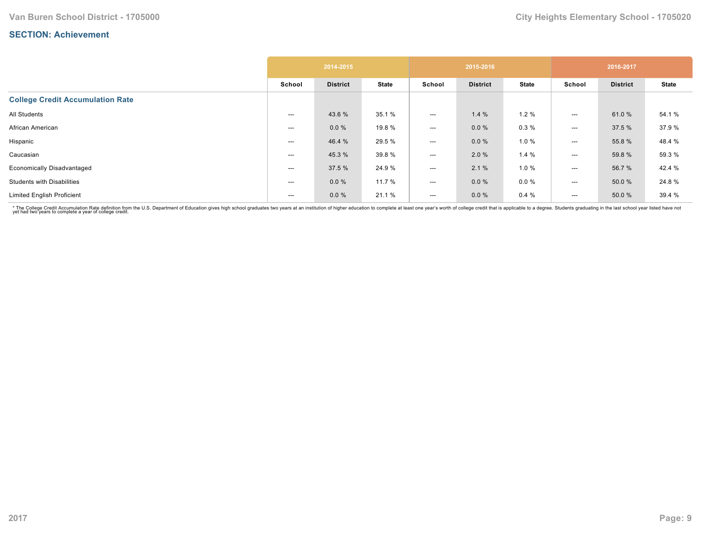|                                         |        | 2014-2015       |              |                          | 2015-2016       |              |                          | 2016-2017       |              |
|-----------------------------------------|--------|-----------------|--------------|--------------------------|-----------------|--------------|--------------------------|-----------------|--------------|
|                                         | School | <b>District</b> | <b>State</b> | School                   | <b>District</b> | <b>State</b> | School                   | <b>District</b> | <b>State</b> |
| <b>College Credit Accumulation Rate</b> |        |                 |              |                          |                 |              |                          |                 |              |
| All Students                            | ---    | 43.6 %          | 35.1 %       | $---$                    | 1.4%            | 1.2%         | $---$                    | 61.0%           | 54.1 %       |
| African American                        | ---    | $0.0 \%$        | 19.8 %       | $---$                    | $0.0 \%$        | 0.3%         | $\hspace{0.05cm} \ldots$ | 37.5 %          | 37.9%        |
| Hispanic                                | ---    | 46.4 %          | 29.5 %       | $\hspace{0.05cm} \ldots$ | 0.0%            | 1.0%         | $\hspace{0.05cm} \ldots$ | 55.8%           | 48.4 %       |
| Caucasian                               | ---    | 45.3 %          | 39.8%        | $\hspace{0.05cm} \ldots$ | 2.0%            | 1.4%         | $\hspace{0.05cm} \ldots$ | 59.8 %          | 59.3 %       |
| <b>Economically Disadvantaged</b>       | ---    | 37.5 %          | 24.9%        | $---$                    | 2.1%            | 1.0 %        | $---$                    | 56.7%           | 42.4 %       |
| <b>Students with Disabilities</b>       | ---    | 0.0%            | 11.7 %       | $\hspace{0.05cm} \ldots$ | $0.0 \%$        | $0.0 \%$     | ---                      | 50.0 %          | 24.8%        |
| <b>Limited English Proficient</b>       | ---    | 0.0%            | 21.1 %       | $---$                    | $0.0 \%$        | 0.4%         | $---$                    | 50.0 %          | 39.4 %       |

\* The College Credit Accumulation Rate definition from the U.S. Department of Education gives high school graduates two years at an institution of higher education to complete at least one year's worth of college credit th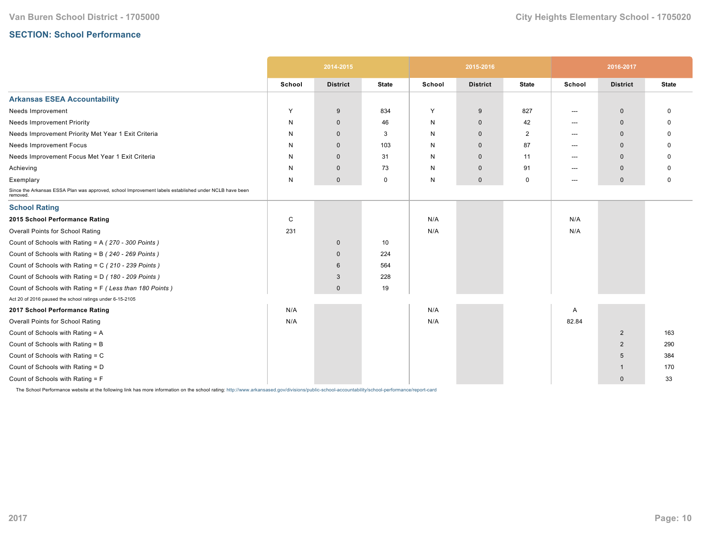# **SECTION: School Performance**

|                                                                                                                   |        | 2014-2015       |              |        | 2015-2016       |              |        | 2016-2017       |              |
|-------------------------------------------------------------------------------------------------------------------|--------|-----------------|--------------|--------|-----------------|--------------|--------|-----------------|--------------|
|                                                                                                                   | School | <b>District</b> | <b>State</b> | School | <b>District</b> | <b>State</b> | School | <b>District</b> | <b>State</b> |
| <b>Arkansas ESEA Accountability</b>                                                                               |        |                 |              |        |                 |              |        |                 |              |
| Needs Improvement                                                                                                 | Y      | 9               | 834          | Y      | 9               | 827          | ---    | $\mathbf 0$     | $\Omega$     |
| <b>Needs Improvement Priority</b>                                                                                 | N      | $\mathbf 0$     | 46           | N      | $\mathbf 0$     | 42           | $---$  | $\mathbf{0}$    | O            |
| Needs Improvement Priority Met Year 1 Exit Criteria                                                               | N      | $\mathbf{0}$    | 3            | N      | $\mathbf{0}$    | 2            | $---$  | $\mathbf{0}$    | <sup>0</sup> |
| <b>Needs Improvement Focus</b>                                                                                    | N      | $\mathbf 0$     | 103          | N      | $\mathbf 0$     | 87           | ---    | $\mathbf 0$     | ŋ            |
| Needs Improvement Focus Met Year 1 Exit Criteria                                                                  | N      | $\mathbf{0}$    | 31           | N      | $\mathbf 0$     | 11           | $---$  | $\mathbf{0}$    |              |
| Achieving                                                                                                         | N      | $\mathbf 0$     | 73           | N      | $\mathbf 0$     | 91           | $---$  | $\Omega$        | O            |
| Exemplary                                                                                                         | N      | $\mathbf 0$     | 0            | N      | $\mathbf 0$     | 0            | $---$  | $\mathbf 0$     | 0            |
| Since the Arkansas ESSA Plan was approved, school Improvement labels established under NCLB have been<br>removed. |        |                 |              |        |                 |              |        |                 |              |
| <b>School Rating</b>                                                                                              |        |                 |              |        |                 |              |        |                 |              |
| 2015 School Performance Rating                                                                                    | C      |                 |              | N/A    |                 |              | N/A    |                 |              |
| Overall Points for School Rating                                                                                  | 231    |                 |              | N/A    |                 |              | N/A    |                 |              |
| Count of Schools with Rating = A (270 - 300 Points)                                                               |        | $\mathbf 0$     | 10           |        |                 |              |        |                 |              |
| Count of Schools with Rating = B (240 - 269 Points)                                                               |        | $\mathbf 0$     | 224          |        |                 |              |        |                 |              |
| Count of Schools with Rating = C (210 - 239 Points)                                                               |        | $6\phantom{1}$  | 564          |        |                 |              |        |                 |              |
| Count of Schools with Rating = D (180 - 209 Points)                                                               |        | 3               | 228          |        |                 |              |        |                 |              |
| Count of Schools with Rating = F (Less than 180 Points)                                                           |        | $\mathbf{0}$    | 19           |        |                 |              |        |                 |              |
| Act 20 of 2016 paused the school ratings under 6-15-2105                                                          |        |                 |              |        |                 |              |        |                 |              |
| 2017 School Performance Rating                                                                                    | N/A    |                 |              | N/A    |                 |              | A      |                 |              |
| Overall Points for School Rating                                                                                  | N/A    |                 |              | N/A    |                 |              | 82.84  |                 |              |
| Count of Schools with Rating = A                                                                                  |        |                 |              |        |                 |              |        | $\overline{2}$  | 163          |
| Count of Schools with Rating = B                                                                                  |        |                 |              |        |                 |              |        | $\overline{2}$  | 290          |
| Count of Schools with Rating = C                                                                                  |        |                 |              |        |                 |              |        | 5               | 384          |
| Count of Schools with Rating = D                                                                                  |        |                 |              |        |                 |              |        | -1              | 170          |
| Count of Schools with Rating = F                                                                                  |        |                 |              |        |                 |              |        | $\mathbf{0}$    | 33           |

The School Performance website at the following link has more information on the school rating: http://www.arkansased.gov/divisions/public-school-accountability/school-performance/report-card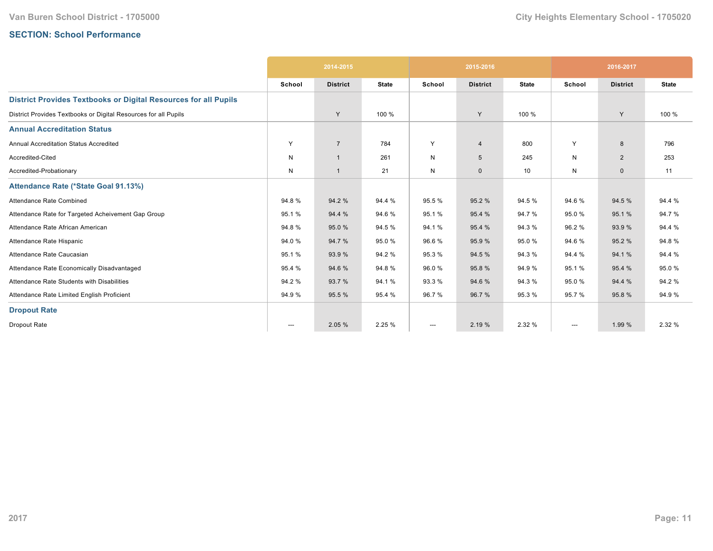# **SECTION: School Performance**

|                                                                        |        | 2014-2015       |              |        | 2015-2016       |              |                        | 2016-2017       |              |
|------------------------------------------------------------------------|--------|-----------------|--------------|--------|-----------------|--------------|------------------------|-----------------|--------------|
|                                                                        | School | <b>District</b> | <b>State</b> | School | <b>District</b> | <b>State</b> | School                 | <b>District</b> | <b>State</b> |
| <b>District Provides Textbooks or Digital Resources for all Pupils</b> |        |                 |              |        |                 |              |                        |                 |              |
| District Provides Textbooks or Digital Resources for all Pupils        |        | Y               | 100 %        |        | Y               | 100 %        |                        | Y               | 100 %        |
| <b>Annual Accreditation Status</b>                                     |        |                 |              |        |                 |              |                        |                 |              |
| <b>Annual Accreditation Status Accredited</b>                          | Y      | $\overline{7}$  | 784          | Y      | $\overline{4}$  | 800          | Y                      | 8               | 796          |
| Accredited-Cited                                                       | N      | $\overline{1}$  | 261          | N      | 5               | 245          | N                      | $\overline{2}$  | 253          |
| Accredited-Probationary                                                | N      | $\overline{1}$  | 21           | N      | $\mathbf 0$     | 10           | N                      | $\mathbf{0}$    | 11           |
| Attendance Rate (*State Goal 91.13%)                                   |        |                 |              |        |                 |              |                        |                 |              |
| Attendance Rate Combined                                               | 94.8%  | 94.2 %          | 94.4 %       | 95.5 % | 95.2 %          | 94.5 %       | 94.6%                  | 94.5 %          | 94.4 %       |
| Attendance Rate for Targeted Acheivement Gap Group                     | 95.1%  | 94.4 %          | 94.6%        | 95.1 % | 95.4 %          | 94.7%        | 95.0%                  | 95.1%           | 94.7%        |
| Attendance Rate African American                                       | 94.8%  | 95.0%           | 94.5 %       | 94.1%  | 95.4 %          | 94.3 %       | 96.2%                  | 93.9%           | 94.4 %       |
| Attendance Rate Hispanic                                               | 94.0%  | 94.7%           | 95.0%        | 96.6%  | 95.9%           | 95.0%        | 94.6%                  | 95.2%           | 94.8%        |
| Attendance Rate Caucasian                                              | 95.1%  | 93.9 %          | 94.2%        | 95.3%  | 94.5 %          | 94.3 %       | 94.4 %                 | 94.1 %          | 94.4 %       |
| Attendance Rate Economically Disadvantaged                             | 95.4 % | 94.6 %          | 94.8%        | 96.0%  | 95.8%           | 94.9%        | 95.1%                  | 95.4 %          | 95.0%        |
| Attendance Rate Students with Disabilities                             | 94.2%  | 93.7%           | 94.1%        | 93.3 % | 94.6%           | 94.3%        | 95.0%                  | 94.4 %          | 94.2 %       |
| Attendance Rate Limited English Proficient                             | 94.9%  | 95.5 %          | 95.4 %       | 96.7 % | 96.7 %          | 95.3%        | 95.7%                  | 95.8%           | 94.9%        |
| <b>Dropout Rate</b>                                                    |        |                 |              |        |                 |              |                        |                 |              |
| Dropout Rate                                                           | ---    | 2.05 %          | 2.25 %       | ---    | 2.19 %          | 2.32 %       | $\qquad \qquad \cdots$ | 1.99 %          | 2.32 %       |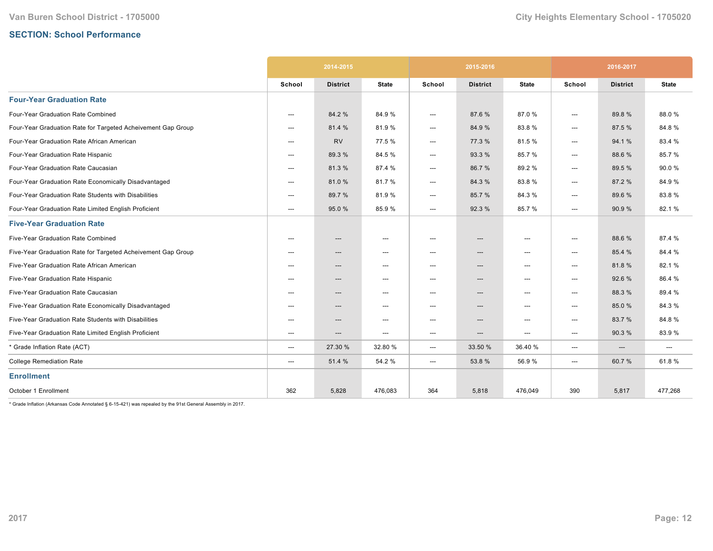# **SECTION: School Performance**

|                                                              |        | 2014-2015       |                                   | 2015-2016 |                          |                                   | 2016-2017 |                 |              |
|--------------------------------------------------------------|--------|-----------------|-----------------------------------|-----------|--------------------------|-----------------------------------|-----------|-----------------|--------------|
|                                                              | School | <b>District</b> | <b>State</b>                      | School    | <b>District</b>          | <b>State</b>                      | School    | <b>District</b> | <b>State</b> |
| <b>Four-Year Graduation Rate</b>                             |        |                 |                                   |           |                          |                                   |           |                 |              |
| Four-Year Graduation Rate Combined                           | ---    | 84.2 %          | 84.9%                             | ---       | 87.6 %                   | 87.0%                             | ---       | 89.8%           | 88.0%        |
| Four-Year Graduation Rate for Targeted Acheivement Gap Group | ---    | 81.4 %          | 81.9%                             | ---       | 84.9%                    | 83.8%                             | ---       | 87.5 %          | 84.8%        |
| Four-Year Graduation Rate African American                   | ---    | <b>RV</b>       | 77.5 %                            | ---       | 77.3 %                   | 81.5%                             | ---       | 94.1%           | 83.4 %       |
| Four-Year Graduation Rate Hispanic                           | ---    | 89.3 %          | 84.5%                             | ---       | 93.3%                    | 85.7%                             | ---       | 88.6%           | 85.7%        |
| Four-Year Graduation Rate Caucasian                          | ---    | 81.3%           | 87.4 %                            | ---       | 86.7%                    | 89.2%                             | ---       | 89.5 %          | 90.0%        |
| Four-Year Graduation Rate Economically Disadvantaged         | ---    | 81.0%           | 81.7%                             | ---       | 84.3%                    | 83.8%                             | ---       | 87.2 %          | 84.9%        |
| Four-Year Graduation Rate Students with Disabilities         | $---$  | 89.7 %          | 81.9%                             | ---       | 85.7%                    | 84.3%                             | ---       | 89.6 %          | 83.8%        |
| Four-Year Graduation Rate Limited English Proficient         | $---$  | 95.0%           | 85.9%                             | ---       | 92.3 %                   | 85.7%                             | ---       | 90.9 %          | 82.1%        |
| <b>Five-Year Graduation Rate</b>                             |        |                 |                                   |           |                          |                                   |           |                 |              |
| Five-Year Graduation Rate Combined                           | $---$  | ---             | $\hspace{0.05cm} \ldots$          | ---       | ---                      | $\hspace{0.05cm} \ldots$          | ---       | 88.6%           | 87.4 %       |
| Five-Year Graduation Rate for Targeted Acheivement Gap Group | $---$  | ---             | $\hspace{0.05cm} \dashrightarrow$ | ---       | $\hspace{0.05cm} \cdots$ | ---                               | ---       | 85.4 %          | 84.4 %       |
| Five-Year Graduation Rate African American                   | $---$  | ---             | $\hspace{0.05cm} \cdots$          | ---       | ---                      | ---                               | ---       | 81.8%           | 82.1%        |
| Five-Year Graduation Rate Hispanic                           | ---    | ---             | $\hspace{0.05cm} \ldots$          | ---       | ---                      | $\hspace{0.05cm} \ldots$          | ---       | 92.6 %          | 86.4%        |
| Five-Year Graduation Rate Caucasian                          | ---    | ---             | $\hspace{0.05cm} \dashrightarrow$ | ---       | ---                      | $\hspace{0.05cm} \dashrightarrow$ | ---       | 88.3%           | 89.4%        |
| Five-Year Graduation Rate Economically Disadvantaged         | ---    | ---             | $\hspace{0.05cm} \ldots$          | ---       | ---                      | $\hspace{0.05cm} \ldots$          | ---       | 85.0%           | 84.3%        |
| Five-Year Graduation Rate Students with Disabilities         | ---    | ---             | $\hspace{0.05cm} \ldots$          | ---       | ---                      | $\hspace{0.05cm} \ldots$          | ---       | 83.7 %          | 84.8%        |
| Five-Year Graduation Rate Limited English Proficient         | ---    | ---             | $\hspace{0.05cm} \ldots$          | ---       | ---                      | $\hspace{0.05cm} \ldots$          | ---       | 90.3%           | 83.9%        |
| * Grade Inflation Rate (ACT)                                 | ---    | 27.30 %         | 32.80%                            | $---$     | 33.50 %                  | 36.40%                            | ---       | $---$           | $---$        |
| <b>College Remediation Rate</b>                              | ---    | 51.4 %          | 54.2 %                            | ---       | 53.8 %                   | 56.9%                             | ---       | 60.7%           | 61.8%        |
| <b>Enrollment</b>                                            |        |                 |                                   |           |                          |                                   |           |                 |              |
| October 1 Enrollment                                         | 362    | 5,828           | 476,083                           | 364       | 5,818                    | 476,049                           | 390       | 5,817           | 477,268      |

 $*$  Grade Inflation (Arkansas Code Annotated § 6-15-421) was repealed by the 91st General Assembly in 2017.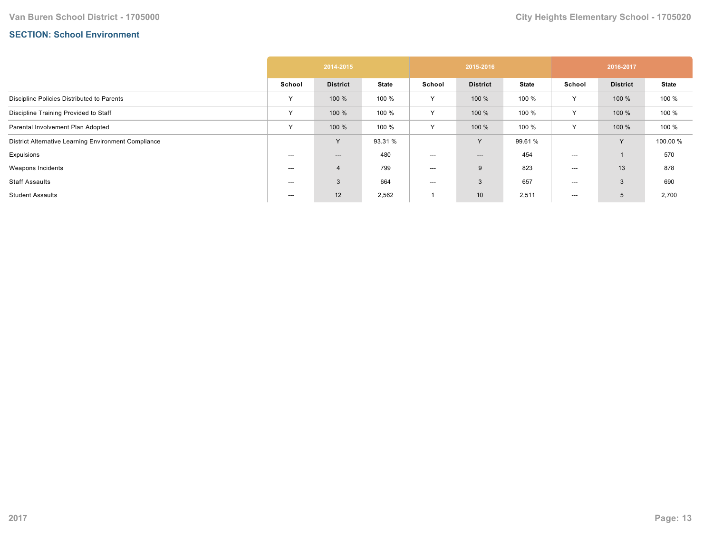## **SECTION: School Environment**

|                                                      | 2014-2015 |                 |              | 2015-2016 |                 |              | 2016-2017    |                 |              |  |
|------------------------------------------------------|-----------|-----------------|--------------|-----------|-----------------|--------------|--------------|-----------------|--------------|--|
|                                                      | School    | <b>District</b> | <b>State</b> | School    | <b>District</b> | <b>State</b> | School       | <b>District</b> | <b>State</b> |  |
| Discipline Policies Distributed to Parents           | Υ         | 100 %           | 100 %        | Y         | 100 %           | 100 %        | $\checkmark$ | 100 %           | 100 %        |  |
| Discipline Training Provided to Staff                | Y         | 100 %           | 100 %        | Y         | 100 %           | 100 %        | $\checkmark$ | 100 %           | 100 %        |  |
| Parental Involvement Plan Adopted                    | $\vee$    | 100 %           | 100 %        | Y         | 100 %           | 100 %        | $\checkmark$ | 100 %           | 100 %        |  |
| District Alternative Learning Environment Compliance |           | $\checkmark$    | 93.31 %      |           | Y               | 99.61 %      |              | Y               | 100.00 %     |  |
| Expulsions                                           | ---       | ---             | 480          | $--$      | ---             | 454          | ---          |                 | 570          |  |
| Weapons Incidents                                    | ---       | $\overline{4}$  | 799          | ---       | 9               | 823          | ---          | 13              | 878          |  |
| <b>Staff Assaults</b>                                | ---       | 3               | 664          | $--$      | 3               | 657          | ---          | 3               | 690          |  |
| <b>Student Assaults</b>                              | ---       | 12              | 2,562        |           | 10 <sup>°</sup> | 2,511        | ---          | 5               | 2,700        |  |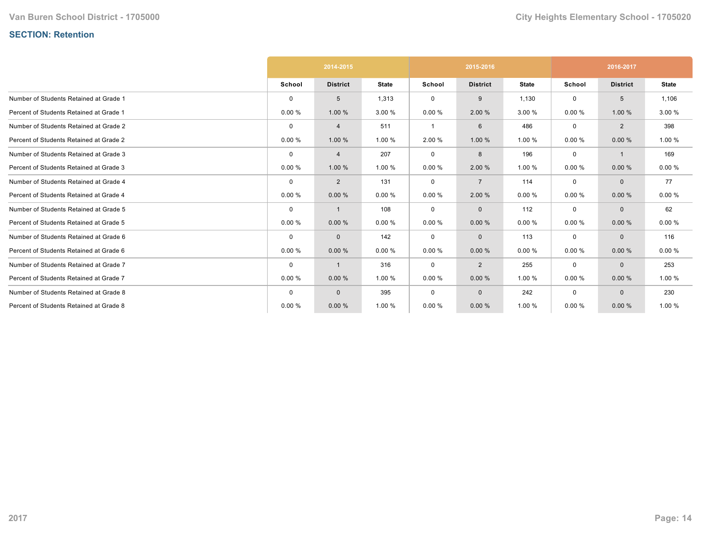# **SECTION: Retention**

|                                         | 2014-2015   |                 |              |             | 2015-2016       |              | 2016-2017   |                 |              |
|-----------------------------------------|-------------|-----------------|--------------|-------------|-----------------|--------------|-------------|-----------------|--------------|
|                                         | School      | <b>District</b> | <b>State</b> | School      | <b>District</b> | <b>State</b> | School      | <b>District</b> | <b>State</b> |
| Number of Students Retained at Grade 1  | $\mathbf 0$ | 5               | 1,313        | 0           | 9               | 1,130        | $\mathbf 0$ | 5               | 1,106        |
| Percent of Students Retained at Grade 1 | 0.00%       | 1.00%           | 3.00 %       | 0.00%       | 2.00 %          | 3.00 %       | 0.00%       | 1.00 %          | 3.00 %       |
| Number of Students Retained at Grade 2  | $\mathbf 0$ | $\overline{4}$  | 511          |             | 6               | 486          | $\mathbf 0$ | $\overline{2}$  | 398          |
| Percent of Students Retained at Grade 2 | 0.00%       | 1.00 %          | 1.00 %       | 2.00 %      | 1.00 %          | 1.00 %       | 0.00%       | 0.00%           | 1.00 %       |
| Number of Students Retained at Grade 3  | $\mathbf 0$ | 4               | 207          | 0           | 8               | 196          | $\mathbf 0$ | $\mathbf 1$     | 169          |
| Percent of Students Retained at Grade 3 | 0.00%       | 1.00 %          | 1.00 %       | 0.00%       | 2.00 %          | 1.00 %       | 0.00%       | 0.00%           | 0.00%        |
| Number of Students Retained at Grade 4  | $\mathbf 0$ | $\overline{2}$  | 131          | 0           | $\overline{7}$  | 114          | $\mathbf 0$ | $\mathbf{0}$    | 77           |
| Percent of Students Retained at Grade 4 | 0.00%       | 0.00%           | 0.00%        | 0.00%       | 2.00 %          | 0.00%        | 0.00%       | 0.00%           | 0.00%        |
| Number of Students Retained at Grade 5  | $\mathbf 0$ | -1              | 108          | $\mathbf 0$ | $\mathbf{0}$    | 112          | $\mathbf 0$ | $\mathbf{0}$    | 62           |
| Percent of Students Retained at Grade 5 | 0.00%       | 0.00%           | 0.00%        | 0.00%       | 0.00%           | 0.00%        | 0.00%       | 0.00%           | 0.00%        |
| Number of Students Retained at Grade 6  | $\mathbf 0$ | $\mathbf 0$     | 142          | 0           | $\mathbf{0}$    | 113          | 0           | $\mathbf{0}$    | 116          |
| Percent of Students Retained at Grade 6 | 0.00%       | 0.00%           | 0.00%        | 0.00%       | 0.00%           | 0.00%        | 0.00%       | 0.00%           | 0.00%        |
| Number of Students Retained at Grade 7  | $\mathbf 0$ | -1              | 316          | 0           | $\overline{2}$  | 255          | $\mathbf 0$ | $\mathbf{0}$    | 253          |
| Percent of Students Retained at Grade 7 | 0.00%       | 0.00%           | 1.00 %       | 0.00%       | 0.00%           | 1.00 %       | 0.00%       | 0.00%           | 1.00 %       |
| Number of Students Retained at Grade 8  | $\mathbf 0$ | $\mathbf{0}$    | 395          | $\mathbf 0$ | $\mathbf{0}$    | 242          | $\mathbf 0$ | $\mathbf{0}$    | 230          |
| Percent of Students Retained at Grade 8 | 0.00%       | 0.00%           | 1.00 %       | 0.00%       | 0.00%           | 1.00 %       | 0.00%       | 0.00%           | 1.00 %       |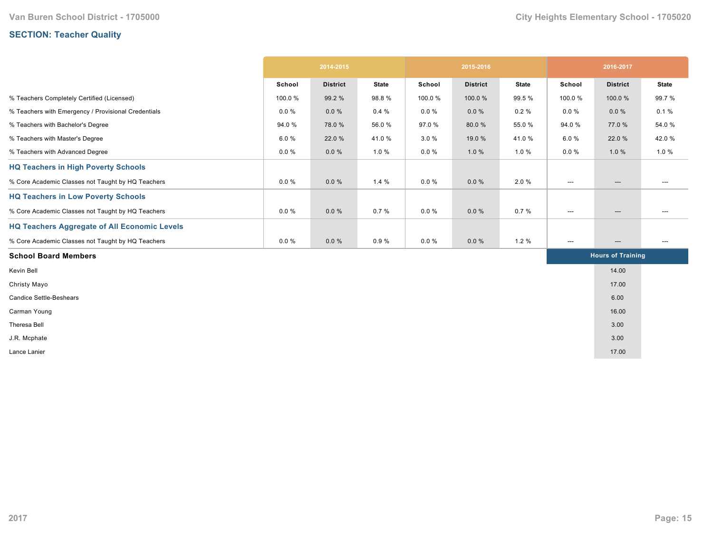# **SECTION: Teacher Quality**

|                                                     | 2014-2015 |                 | 2015-2016    |          |                 | 2016-2017    |                                   |                          |                          |
|-----------------------------------------------------|-----------|-----------------|--------------|----------|-----------------|--------------|-----------------------------------|--------------------------|--------------------------|
|                                                     | School    | <b>District</b> | <b>State</b> | School   | <b>District</b> | <b>State</b> | School                            | <b>District</b>          | <b>State</b>             |
| % Teachers Completely Certified (Licensed)          | 100.0%    | 99.2 %          | 98.8%        | 100.0%   | 100.0%          | 99.5 %       | 100.0%                            | 100.0%                   | 99.7%                    |
| % Teachers with Emergency / Provisional Credentials | $0.0 \%$  | $0.0 \%$        | 0.4%         | $0.0 \%$ | $0.0 \%$        | $0.2 \%$     | $0.0 \%$                          | $0.0 \%$                 | 0.1%                     |
| % Teachers with Bachelor's Degree                   | 94.0%     | 78.0%           | 56.0%        | 97.0%    | 80.0%           | 55.0%        | 94.0%                             | 77.0 %                   | 54.0 %                   |
| % Teachers with Master's Degree                     | 6.0%      | 22.0 %          | 41.0%        | 3.0%     | 19.0 %          | 41.0%        | 6.0%                              | 22.0 %                   | 42.0%                    |
| % Teachers with Advanced Degree                     | $0.0 \%$  | $0.0 \%$        | 1.0 %        | $0.0 \%$ | 1.0%            | 1.0%         | $0.0 \%$                          | 1.0%                     | 1.0 %                    |
| <b>HQ Teachers in High Poverty Schools</b>          |           |                 |              |          |                 |              |                                   |                          |                          |
| % Core Academic Classes not Taught by HQ Teachers   | $0.0 \%$  | $0.0 \%$        | 1.4%         | $0.0 \%$ | $0.0 \%$        | 2.0%         | $\hspace{0.05cm} \cdots$          | $\hspace{0.05cm} \ldots$ | ---                      |
| <b>HQ Teachers in Low Poverty Schools</b>           |           |                 |              |          |                 |              |                                   |                          |                          |
| % Core Academic Classes not Taught by HQ Teachers   | $0.0 \%$  | $0.0 \%$        | 0.7%         | $0.0 \%$ | $0.0 \%$        | 0.7%         | $\hspace{0.05cm} \ldots$          | ---                      | ---                      |
| <b>HQ Teachers Aggregate of All Economic Levels</b> |           |                 |              |          |                 |              |                                   |                          |                          |
| % Core Academic Classes not Taught by HQ Teachers   | $0.0 \%$  | $0.0 \%$        | 0.9%         | $0.0 \%$ | $0.0 \%$        | 1.2%         | $\hspace{0.05cm} \dashrightarrow$ | $\hspace{0.05cm} \ldots$ | $\hspace{0.05cm} \ldots$ |
| <b>School Board Members</b>                         |           |                 |              |          |                 |              |                                   | <b>Hours of Training</b> |                          |
| Kevin Bell                                          |           |                 |              |          |                 |              |                                   | 14.00                    |                          |
| Christy Mayo                                        |           |                 |              |          |                 |              |                                   | 17.00                    |                          |
| <b>Candice Settle-Beshears</b>                      |           |                 |              |          |                 |              |                                   | 6.00                     |                          |
| Carman Young                                        |           |                 |              |          |                 |              |                                   | 16.00                    |                          |
| Theresa Bell                                        |           |                 |              |          |                 |              |                                   | 3.00                     |                          |
| J.R. Mcphate                                        |           |                 |              |          |                 |              |                                   | 3.00                     |                          |
| Lance Lanier                                        |           |                 |              |          |                 |              |                                   | 17.00                    |                          |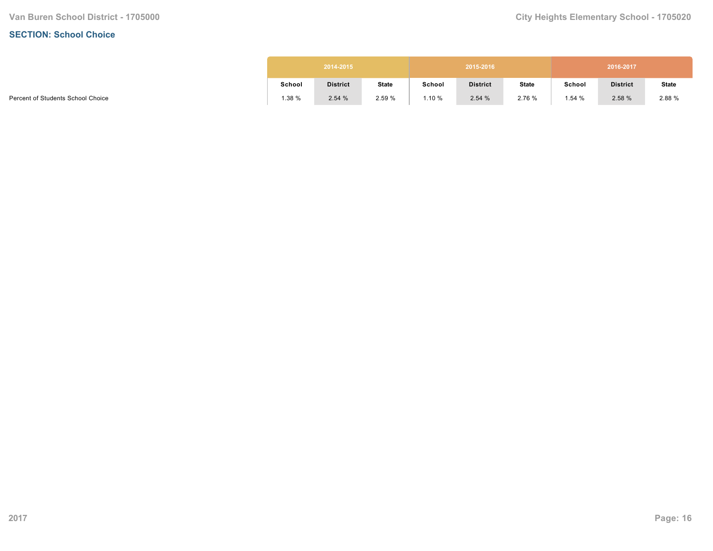#### **SECTION: School Choice**

|        | 2014-2015       |              |        | 2015-2016       |              |        | 2016-2017       |              |
|--------|-----------------|--------------|--------|-----------------|--------------|--------|-----------------|--------------|
| School | <b>District</b> | <b>State</b> | School | <b>District</b> | <b>State</b> | School | <b>District</b> | <b>State</b> |
| 1.38 % | 2.54%           | 2.59 %       | 1.10 % | 2.54%           | 2.76 %       | 1.54%  | 2.58 %          | 2.88 %       |

Percent of Students School Choice